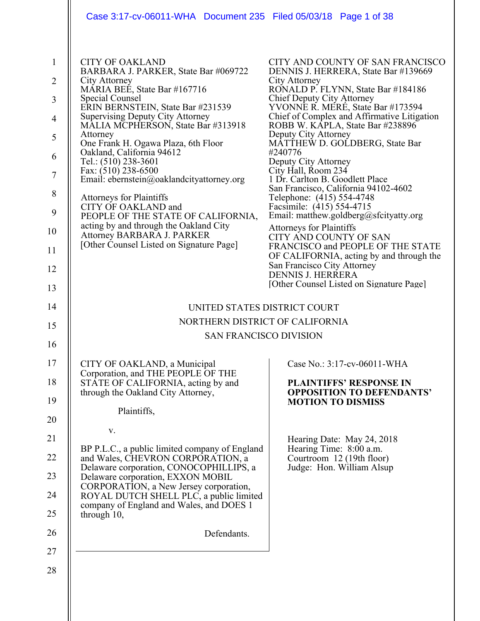| Case 3:17-cv-06011-WHA Document 235 Filed 05/03/18 Page 1 of 38                                                                                                                                                                                                                                                                                                                                                                                                                                                                                                                                                                                                 |                                                                                                                                                                                                                                                                                                                                                                                                                                                                                                                                                                                                                                                                                                                                                                                                                                               |
|-----------------------------------------------------------------------------------------------------------------------------------------------------------------------------------------------------------------------------------------------------------------------------------------------------------------------------------------------------------------------------------------------------------------------------------------------------------------------------------------------------------------------------------------------------------------------------------------------------------------------------------------------------------------|-----------------------------------------------------------------------------------------------------------------------------------------------------------------------------------------------------------------------------------------------------------------------------------------------------------------------------------------------------------------------------------------------------------------------------------------------------------------------------------------------------------------------------------------------------------------------------------------------------------------------------------------------------------------------------------------------------------------------------------------------------------------------------------------------------------------------------------------------|
| <b>CITY OF OAKLAND</b><br>BARBARA J. PARKER, State Bar #069722<br>City Attorney<br>MÁRIA BEÉ, State Bar #167716<br><b>Special Counsel</b><br>ERIN BERNSTEIN, State Bar #231539<br><b>Supervising Deputy City Attorney</b><br>MALIA MCPHERSON, State Bar #313918<br>Attorney<br>One Frank H. Ogawa Plaza, 6th Floor<br>Oakland, California 94612<br>Tel.: (510) 238-3601<br>Fax: (510) 238-6500<br>Email: ebernstein@oaklandcityattorney.org<br><b>Attorneys for Plaintiffs</b><br>CITY OF OAKLAND and<br>PEOPLE OF THE STATE OF CALIFORNIA,<br>acting by and through the Oakland City<br>Attorney BARBARA J. PARKER<br>[Other Counsel Listed on Signature Page] | CITY AND COUNTY OF SAN FRANCISCO<br>DENNIS J. HERRERA, State Bar #139669<br>City Attorney<br>RONALD P. FLYNN, State Bar #184186<br>Chief Deputy City Attorney<br>YVONNE R. MERE, State Bar #173594<br>Chief of Complex and Affirmative Litigation<br>ROBB W. KĀPLA, State Bar #238896<br>Deputy City Attorney<br>MATTHEW D. GOLDBERG, State Bar<br>#240776<br>Deputy City Attorney<br>City Hall, Room 234<br>1 Dr. Carlton B. Goodlett Place<br>San Francisco, California 94102-4602<br>Telephone: (415) 554-4748<br>Facsimile: (415) 554-4715<br>Email: matthew.goldberg@sfcityatty.org<br><b>Attorneys for Plaintiffs</b><br>CITY AND COUNTY OF SAN<br>FRANCISCO and PEOPLE OF THE STATE<br>OF CALIFORNIA, acting by and through the<br>San Francisco City Attorney<br><b>DENNIS J. HERRERA</b><br>[Other Counsel Listed on Signature Page] |
| UNITED STATES DISTRICT COURT                                                                                                                                                                                                                                                                                                                                                                                                                                                                                                                                                                                                                                    |                                                                                                                                                                                                                                                                                                                                                                                                                                                                                                                                                                                                                                                                                                                                                                                                                                               |
| NORTHERN DISTRICT OF CALIFORNIA                                                                                                                                                                                                                                                                                                                                                                                                                                                                                                                                                                                                                                 |                                                                                                                                                                                                                                                                                                                                                                                                                                                                                                                                                                                                                                                                                                                                                                                                                                               |
| <b>SAN FRANCISCO DIVISION</b>                                                                                                                                                                                                                                                                                                                                                                                                                                                                                                                                                                                                                                   |                                                                                                                                                                                                                                                                                                                                                                                                                                                                                                                                                                                                                                                                                                                                                                                                                                               |
| CITY OF OAKLAND, a Municipal<br>Corporation, and THE PEOPLE OF THE<br>STATE OF CALIFORNIA, acting by and<br>through the Oakland City Attorney,<br>Plaintiffs,<br>V.<br>BP P.L.C., a public limited company of England<br>and Wales, CHEVRON CORPORATION, a<br>Delaware corporation, CONOCOPHILLIPS, a<br>Delaware corporation, EXXON MOBIL<br>CORPORATION, a New Jersey corporation,<br>ROYAL DUTCH SHELL PLC, a public limited<br>company of England and Wales, and DOES 1<br>through 10,                                                                                                                                                                      | Case No.: 3:17-cv-06011-WHA<br><b>PLAINTIFFS' RESPONSE IN</b><br><b>OPPOSITION TO DEFENDANTS'</b><br><b>MOTION TO DISMISS</b><br>Hearing Date: May 24, 2018<br>Hearing Time: 8:00 a.m.<br>Courtroom 12 (19th floor)<br>Judge: Hon. William Alsup                                                                                                                                                                                                                                                                                                                                                                                                                                                                                                                                                                                              |
| Defendants.                                                                                                                                                                                                                                                                                                                                                                                                                                                                                                                                                                                                                                                     |                                                                                                                                                                                                                                                                                                                                                                                                                                                                                                                                                                                                                                                                                                                                                                                                                                               |
|                                                                                                                                                                                                                                                                                                                                                                                                                                                                                                                                                                                                                                                                 |                                                                                                                                                                                                                                                                                                                                                                                                                                                                                                                                                                                                                                                                                                                                                                                                                                               |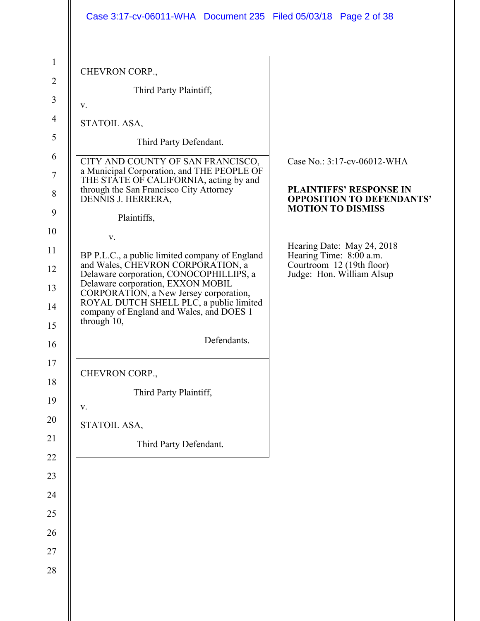|                                | Case 3:17-cv-06011-WHA Document 235 Filed 05/03/18 Page 2 of 38                                                                              |                                                                                    |
|--------------------------------|----------------------------------------------------------------------------------------------------------------------------------------------|------------------------------------------------------------------------------------|
| $\mathbf{1}$<br>$\overline{2}$ | CHEVRON CORP.,                                                                                                                               |                                                                                    |
| 3                              | Third Party Plaintiff,<br>V.                                                                                                                 |                                                                                    |
| $\overline{4}$                 | STATOIL ASA,                                                                                                                                 |                                                                                    |
| 5                              | Third Party Defendant.                                                                                                                       |                                                                                    |
| 6                              | CITY AND COUNTY OF SAN FRANCISCO,<br>a Municipal Corporation, and THE PEOPLE OF                                                              | Case No.: 3:17-cv-06012-WHA                                                        |
| $\tau$<br>$8\,$                | THE STATE OF CALIFORNIA, acting by and<br>through the San Francisco City Attorney<br>DENNIS J. HERRERA,                                      | <b>PLAINTIFFS' RESPONSE IN</b><br><b>OPPOSITION TO DEFENDANTS'</b>                 |
| 9                              | Plaintiffs,                                                                                                                                  | <b>MOTION TO DISMISS</b>                                                           |
| 10                             | V.                                                                                                                                           |                                                                                    |
| 12                             | BP P.L.C., a public limited company of England<br>and Wales, CHEVRON CORPORATION, a                                                          | Hearing Date: May 24, 2018<br>Hearing Time: 8:00 a.m.<br>Courtroom 12 (19th floor) |
| 13                             | Delaware corporation, CONOCOPHILLIPS, a<br>Delaware corporation, EXXON MOBIL                                                                 | Judge: Hon. William Alsup                                                          |
|                                | CORPORATION, a New Jersey corporation,<br>ROYAL DUTCH SHELL PLC, a public limited<br>company of England and Wales, and DOES 1<br>through 10, |                                                                                    |
|                                | Defendants.                                                                                                                                  |                                                                                    |
|                                | CHEVRON CORP.,                                                                                                                               |                                                                                    |
|                                | Third Party Plaintiff,                                                                                                                       |                                                                                    |
|                                | V.                                                                                                                                           |                                                                                    |
|                                | STATOIL ASA,                                                                                                                                 |                                                                                    |
|                                | Third Party Defendant.                                                                                                                       |                                                                                    |
|                                |                                                                                                                                              |                                                                                    |
|                                |                                                                                                                                              |                                                                                    |
|                                |                                                                                                                                              |                                                                                    |
|                                |                                                                                                                                              |                                                                                    |
|                                |                                                                                                                                              |                                                                                    |
|                                |                                                                                                                                              |                                                                                    |
|                                |                                                                                                                                              |                                                                                    |
|                                |                                                                                                                                              |                                                                                    |
|                                |                                                                                                                                              |                                                                                    |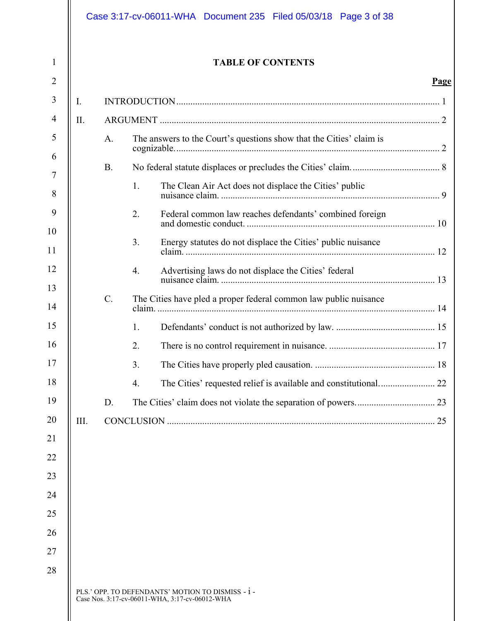|      |                 | <b>TABLE OF CONTENTS</b>                                              |
|------|-----------------|-----------------------------------------------------------------------|
|      |                 |                                                                       |
|      |                 |                                                                       |
| II.  |                 |                                                                       |
|      | A.              | The answers to the Court's questions show that the Cities' claim is   |
|      | <b>B.</b>       |                                                                       |
|      |                 | 1.<br>The Clean Air Act does not displace the Cities' public          |
|      |                 | 2.<br>Federal common law reaches defendants' combined foreign         |
|      |                 | Energy statutes do not displace the Cities' public nuisance<br>3.     |
|      |                 | Advertising laws do not displace the Cities' federal<br>4.            |
|      | $\mathcal{C}$ . | The Cities have pled a proper federal common law public nuisance      |
|      |                 | 1.                                                                    |
|      |                 | 2.                                                                    |
|      |                 | 3.                                                                    |
|      |                 | The Cities' requested relief is available and constitutional 22<br>4. |
|      | D.              |                                                                       |
| III. |                 |                                                                       |
|      |                 |                                                                       |
|      |                 |                                                                       |
|      |                 |                                                                       |
|      |                 |                                                                       |
|      |                 |                                                                       |
|      |                 |                                                                       |
|      |                 |                                                                       |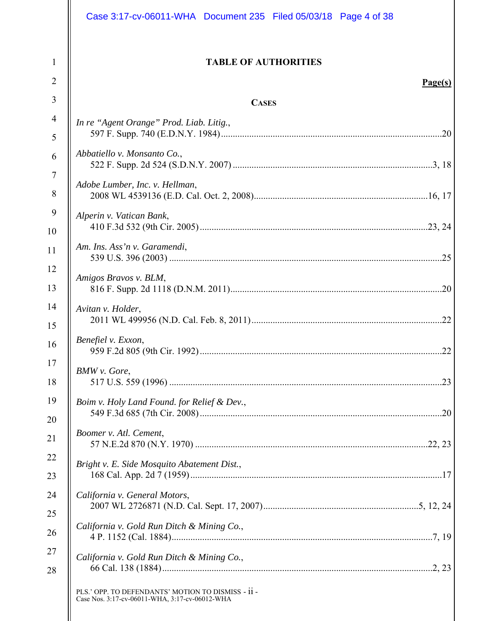| Case 3:17-cv-06011-WHA Document 235 Filed 05/03/18 Page 4 of 38                                      |
|------------------------------------------------------------------------------------------------------|
| <b>TABLE OF AUTHORITIES</b><br>Page(s)                                                               |
| <b>CASES</b>                                                                                         |
| In re "Agent Orange" Prod. Liab. Litig.,                                                             |
| Abbatiello v. Monsanto Co.,                                                                          |
| Adobe Lumber, Inc. v. Hellman,                                                                       |
| Alperin v. Vatican Bank,                                                                             |
| Am. Ins. Ass'n v. Garamendi,                                                                         |
| Amigos Bravos v. BLM,                                                                                |
| Avitan v. Holder,                                                                                    |
| Benefiel v. Exxon,<br>22                                                                             |
| <b>BMW</b> v. Gore,                                                                                  |
| Boim v. Holy Land Found. for Relief & Dev.,                                                          |
| Boomer v. Atl. Cement,                                                                               |
| Bright v. E. Side Mosquito Abatement Dist.,                                                          |
| California v. General Motors,                                                                        |
| California v. Gold Run Ditch & Mining Co.,                                                           |
| California v. Gold Run Ditch & Mining Co.,                                                           |
| PLS.' OPP. TO DEFENDANTS' MOTION TO DISMISS - ii -<br>Case Nos. 3:17-cv-06011-WHA, 3:17-cv-06012-WHA |
|                                                                                                      |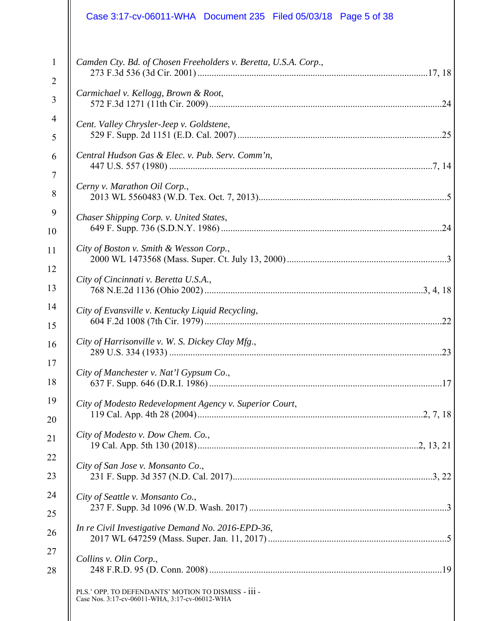|                | Case 3:17-cv-06011-WHA  Document 235  Filed 05/03/18  Page 5 of 38                                    |
|----------------|-------------------------------------------------------------------------------------------------------|
| $\mathbf{1}$   | Camden Cty. Bd. of Chosen Freeholders v. Beretta, U.S.A. Corp.,                                       |
| $\overline{2}$ |                                                                                                       |
| 3              | Carmichael v. Kellogg, Brown & Root,                                                                  |
| 4              | Cent. Valley Chrysler-Jeep v. Goldstene,                                                              |
| 5              |                                                                                                       |
| 6              | Central Hudson Gas & Elec. v. Pub. Serv. Comm'n,                                                      |
| 7              | Cerny v. Marathon Oil Corp.,                                                                          |
| 8              |                                                                                                       |
| 9              | Chaser Shipping Corp. v. United States,                                                               |
| 10             |                                                                                                       |
| 11             | City of Boston v. Smith & Wesson Corp.,                                                               |
| 12             | City of Cincinnati v. Beretta U.S.A.,                                                                 |
| 13             |                                                                                                       |
| 14             | City of Evansville v. Kentucky Liquid Recycling,                                                      |
| 15             |                                                                                                       |
| 16             | City of Harrisonville v. W. S. Dickey Clay Mfg.,                                                      |
| 17             | City of Manchester v. Nat'l Gypsum Co.,                                                               |
| 18             |                                                                                                       |
| 19             | City of Modesto Redevelopment Agency v. Superior Court,                                               |
| 20             |                                                                                                       |
| 21             | City of Modesto v. Dow Chem. Co.,                                                                     |
| 22             | City of San Jose v. Monsanto Co.,                                                                     |
| 23             |                                                                                                       |
| 24             | City of Seattle v. Monsanto Co.,                                                                      |
| 25             |                                                                                                       |
| 26             | In re Civil Investigative Demand No. 2016-EPD-36,                                                     |
| 27             | Collins v. Olin Corp.,                                                                                |
| 28             |                                                                                                       |
|                | PLS.' OPP. TO DEFENDANTS' MOTION TO DISMISS - iii -<br>Case Nos. 3:17-cv-06011-WHA, 3:17-cv-06012-WHA |
|                |                                                                                                       |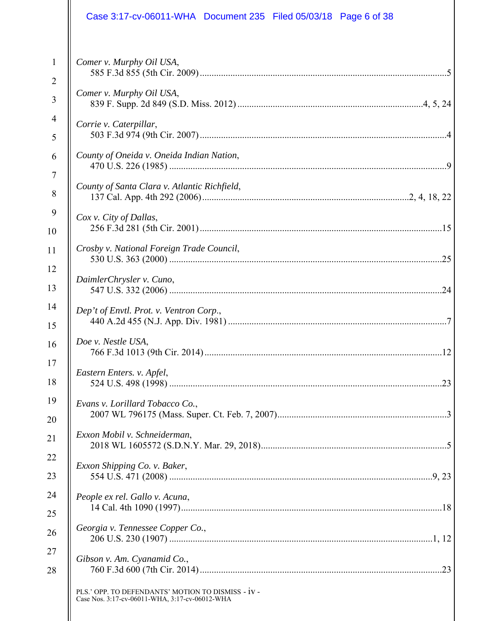|                | Case 3:17-cv-06011-WHA Document 235 Filed 05/03/18 Page 6 of 38                                      |
|----------------|------------------------------------------------------------------------------------------------------|
| $\mathbf{1}$   | Comer v. Murphy Oil USA,                                                                             |
| $\overline{2}$ |                                                                                                      |
| 3              | Comer v. Murphy Oil USA,                                                                             |
| 4              | Corrie v. Caterpillar,                                                                               |
| 5              |                                                                                                      |
| 6              | County of Oneida v. Oneida Indian Nation,                                                            |
| $\tau$         | County of Santa Clara v. Atlantic Richfield,                                                         |
| 8              |                                                                                                      |
| 9              | Cox v. City of Dallas,                                                                               |
| 10             |                                                                                                      |
| 11             | Crosby v. National Foreign Trade Council,                                                            |
| 12             | DaimlerChrysler v. Cuno,                                                                             |
| 13             |                                                                                                      |
| 14             | Dep't of Envtl. Prot. v. Ventron Corp.,                                                              |
| 15             |                                                                                                      |
| 16             | Doe v. Nestle USA,                                                                                   |
| 17             | Eastern Enters. v. Apfel,                                                                            |
| 18             |                                                                                                      |
| 19             | Evans v. Lorillard Tobacco Co.,                                                                      |
| 20             |                                                                                                      |
| 21             | Exxon Mobil v. Schneiderman,                                                                         |
| 22             | Exxon Shipping Co. v. Baker,                                                                         |
| 23             |                                                                                                      |
| 24             | People ex rel. Gallo v. Acuna,                                                                       |
| 25             |                                                                                                      |
| 26             | Georgia v. Tennessee Copper Co.,                                                                     |
| 27             | Gibson v. Am. Cyanamid Co.,                                                                          |
| 28             |                                                                                                      |
|                | PLS.' OPP. TO DEFENDANTS' MOTION TO DISMISS - IV -<br>Case Nos. 3:17-cv-06011-WHA, 3:17-cv-06012-WHA |
|                |                                                                                                      |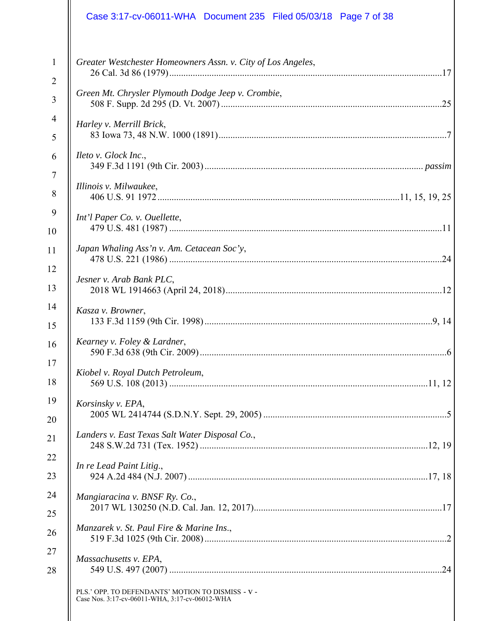|   | Case 3:17-cv-06011-WHA  Document 235  Filed 05/03/18  Page 7 of 38                                  |
|---|-----------------------------------------------------------------------------------------------------|
|   | Greater Westchester Homeowners Assn. v. City of Los Angeles,                                        |
|   | Green Mt. Chrysler Plymouth Dodge Jeep v. Crombie,                                                  |
|   | Harley v. Merrill Brick,                                                                            |
| 6 | Ileto v. Glock Inc.,                                                                                |
|   | Illinois v. Milwaukee,                                                                              |
|   | Int'l Paper Co. v. Ouellette,                                                                       |
|   | Japan Whaling Ass'n v. Am. Cetacean Soc'y,                                                          |
|   | Jesner v. Arab Bank PLC,                                                                            |
|   | Kasza v. Browner,                                                                                   |
|   | Kearney v. Foley & Lardner,                                                                         |
|   | Kiobel v. Royal Dutch Petroleum,                                                                    |
|   | Korsinsky v. EPA,                                                                                   |
|   | Landers v. East Texas Salt Water Disposal Co.,                                                      |
|   | In re Lead Paint Litig.,                                                                            |
|   | Mangiaracina v. BNSF Ry. Co.,                                                                       |
|   | Manzarek v. St. Paul Fire & Marine Ins.,                                                            |
|   | Massachusetts v. EPA,<br>.24                                                                        |
|   | PLS.' OPP. TO DEFENDANTS' MOTION TO DISMISS - V -<br>Case Nos. 3:17-cv-06011-WHA, 3:17-cv-06012-WHA |
|   |                                                                                                     |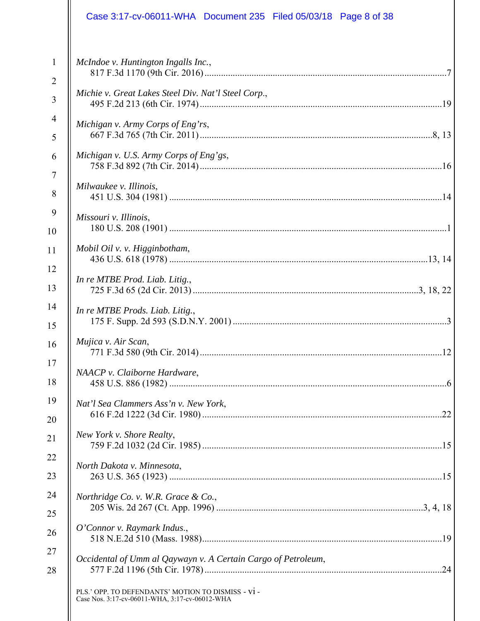| McIndoe v. Huntington Ingalls Inc.,<br>Michie v. Great Lakes Steel Div. Nat'l Steel Corp.,<br>Michigan v. Army Corps of Eng'rs,<br>Michigan v. U.S. Army Corps of Eng'gs,<br>Milwaukee v. Illinois,<br>Missouri v. Illinois,<br>Mobil Oil v. v. Higginbotham,<br>In re MTBE Prod. Liab. Litig.,<br>In re MTBE Prods. Liab. Litig.,<br>Mujica v. Air Scan,<br><sup>12</sup><br>NAACP v. Claiborne Hardware,<br>Nat'l Sea Clammers Ass'n v. New York,<br>New York v. Shore Realty,<br>North Dakota v. Minnesota,<br>Northridge Co. v. W.R. Grace & Co.,<br>O'Connor v. Raymark Indus.,<br>Occidental of Umm al Qaywayn v. A Certain Cargo of Petroleum,<br>PLS.' OPP. TO DEFENDANTS' MOTION TO DISMISS - V1 -<br>Case Nos. 3:17-cv-06011-WHA, 3:17-cv-06012-WHA | Case 3:17-cv-06011-WHA  Document 235  Filed 05/03/18  Page 8 of 38 |
|---------------------------------------------------------------------------------------------------------------------------------------------------------------------------------------------------------------------------------------------------------------------------------------------------------------------------------------------------------------------------------------------------------------------------------------------------------------------------------------------------------------------------------------------------------------------------------------------------------------------------------------------------------------------------------------------------------------------------------------------------------------|--------------------------------------------------------------------|
|                                                                                                                                                                                                                                                                                                                                                                                                                                                                                                                                                                                                                                                                                                                                                               |                                                                    |
|                                                                                                                                                                                                                                                                                                                                                                                                                                                                                                                                                                                                                                                                                                                                                               |                                                                    |
|                                                                                                                                                                                                                                                                                                                                                                                                                                                                                                                                                                                                                                                                                                                                                               |                                                                    |
|                                                                                                                                                                                                                                                                                                                                                                                                                                                                                                                                                                                                                                                                                                                                                               |                                                                    |
|                                                                                                                                                                                                                                                                                                                                                                                                                                                                                                                                                                                                                                                                                                                                                               |                                                                    |
|                                                                                                                                                                                                                                                                                                                                                                                                                                                                                                                                                                                                                                                                                                                                                               |                                                                    |
|                                                                                                                                                                                                                                                                                                                                                                                                                                                                                                                                                                                                                                                                                                                                                               |                                                                    |
|                                                                                                                                                                                                                                                                                                                                                                                                                                                                                                                                                                                                                                                                                                                                                               |                                                                    |
|                                                                                                                                                                                                                                                                                                                                                                                                                                                                                                                                                                                                                                                                                                                                                               |                                                                    |
|                                                                                                                                                                                                                                                                                                                                                                                                                                                                                                                                                                                                                                                                                                                                                               |                                                                    |
|                                                                                                                                                                                                                                                                                                                                                                                                                                                                                                                                                                                                                                                                                                                                                               |                                                                    |
|                                                                                                                                                                                                                                                                                                                                                                                                                                                                                                                                                                                                                                                                                                                                                               |                                                                    |
|                                                                                                                                                                                                                                                                                                                                                                                                                                                                                                                                                                                                                                                                                                                                                               |                                                                    |
|                                                                                                                                                                                                                                                                                                                                                                                                                                                                                                                                                                                                                                                                                                                                                               |                                                                    |
|                                                                                                                                                                                                                                                                                                                                                                                                                                                                                                                                                                                                                                                                                                                                                               |                                                                    |
|                                                                                                                                                                                                                                                                                                                                                                                                                                                                                                                                                                                                                                                                                                                                                               |                                                                    |
|                                                                                                                                                                                                                                                                                                                                                                                                                                                                                                                                                                                                                                                                                                                                                               |                                                                    |
|                                                                                                                                                                                                                                                                                                                                                                                                                                                                                                                                                                                                                                                                                                                                                               |                                                                    |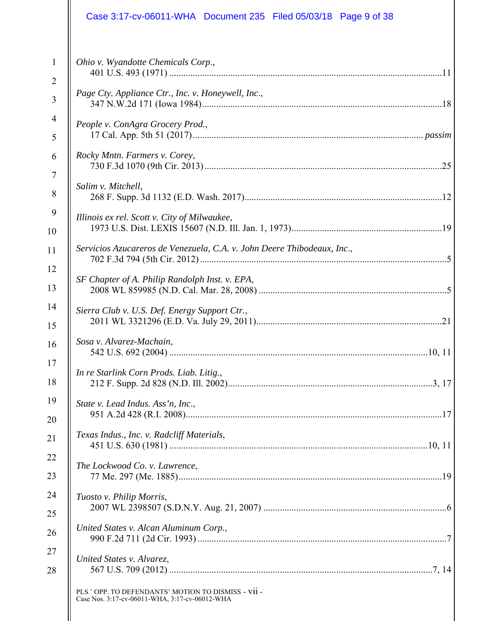| Case 3:17-cv-06011-WHA Document 235 Filed 05/03/18 Page 9 of 38                                       |
|-------------------------------------------------------------------------------------------------------|
| Ohio v. Wyandotte Chemicals Corp.,                                                                    |
| Page Cty. Appliance Ctr., Inc. v. Honeywell, Inc.,                                                    |
| People v. ConAgra Grocery Prod.,                                                                      |
| Rocky Mntn. Farmers v. Corey,                                                                         |
| Salim v. Mitchell,                                                                                    |
| Illinois ex rel. Scott v. City of Milwaukee,                                                          |
| Servicios Azucareros de Venezuela, C.A. v. John Deere Thibodeaux, Inc.,                               |
| SF Chapter of A. Philip Randolph Inst. v. EPA,                                                        |
| Sierra Club v. U.S. Def. Energy Support Ctr.,                                                         |
| Sosa v. Alvarez-Machain,                                                                              |
| In re Starlink Corn Prods. Liab. Litig.,                                                              |
| State v. Lead Indus. Ass'n, Inc.,                                                                     |
| Texas Indus., Inc. v. Radcliff Materials,                                                             |
| The Lockwood Co. v. Lawrence,                                                                         |
| Tuosto v. Philip Morris,                                                                              |
| United States v. Alcan Aluminum Corp.,                                                                |
| United States v. Alvarez,                                                                             |
| PLS.' OPP. TO DEFENDANTS' MOTION TO DISMISS - VII -<br>Case Nos. 3:17-cv-06011-WHA, 3:17-cv-06012-WHA |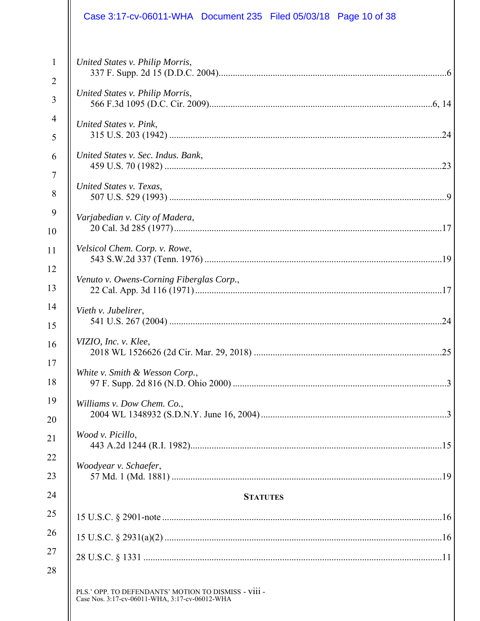| Case 3:17-cv-06011-WHA  Document 235  Filed 05/03/18  Page 10 of 38                                    |
|--------------------------------------------------------------------------------------------------------|
| United States v. Philip Morris,                                                                        |
| United States v. Philip Morris,                                                                        |
| United States v. Pink,                                                                                 |
| United States v. Sec. Indus. Bank,                                                                     |
| United States v. Texas,                                                                                |
| Varjabedian v. City of Madera,                                                                         |
| Velsicol Chem. Corp. v. Rowe,                                                                          |
| Venuto v. Owens-Corning Fiberglas Corp.,                                                               |
| Vieth v. Jubelirer,                                                                                    |
| VIZIO, Inc. v. Klee,                                                                                   |
| White v. Smith & Wesson Corp.,                                                                         |
| Williams v. Dow Chem. Co.,                                                                             |
| Wood v. Picillo,                                                                                       |
| Woodyear v. Schaefer,                                                                                  |
| <b>STATUTES</b>                                                                                        |
|                                                                                                        |
|                                                                                                        |
|                                                                                                        |
| PLS.' OPP. TO DEFENDANTS' MOTION TO DISMISS - VIII -<br>Case Nos. 3:17-cv-06011-WHA, 3:17-cv-06012-WHA |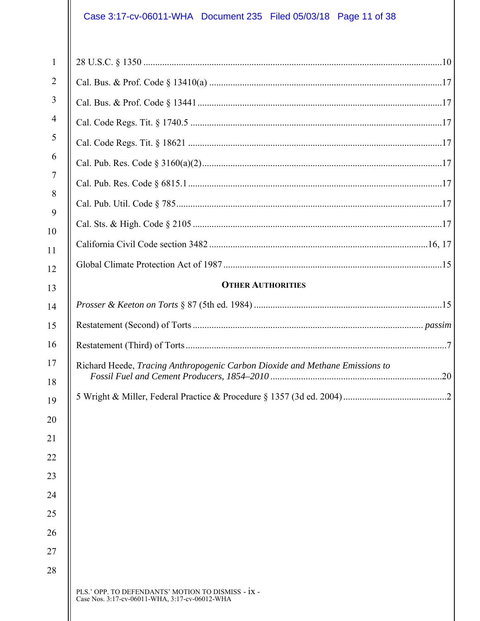# Case 3:17-cv-06011-WHA Document 235 Filed 05/03/18 Page 11 of 38

 $\mathsf{I}$ 

| 1              |                                                                                                      |
|----------------|------------------------------------------------------------------------------------------------------|
| $\overline{2}$ |                                                                                                      |
| 3              |                                                                                                      |
| $\overline{4}$ |                                                                                                      |
| 5              |                                                                                                      |
| 6              |                                                                                                      |
| $\tau$         |                                                                                                      |
| 8              |                                                                                                      |
| 9              |                                                                                                      |
| 10<br>11       |                                                                                                      |
| 12             |                                                                                                      |
| 13             | <b>OTHER AUTHORITIES</b>                                                                             |
| 14             |                                                                                                      |
| 15             |                                                                                                      |
| 16             |                                                                                                      |
| 17             | Richard Heede, Tracing Anthropogenic Carbon Dioxide and Methane Emissions to                         |
| 18             |                                                                                                      |
| 19             |                                                                                                      |
| 20<br>21       |                                                                                                      |
| 22             |                                                                                                      |
| 23             |                                                                                                      |
| 24             |                                                                                                      |
| 25             |                                                                                                      |
| 26             |                                                                                                      |
| 27             |                                                                                                      |
| 28             |                                                                                                      |
|                | PLS.' OPP. TO DEFENDANTS' MOTION TO DISMISS - IX -<br>Case Nos. 3:17-cv-06011-WHA, 3:17-cv-06012-WHA |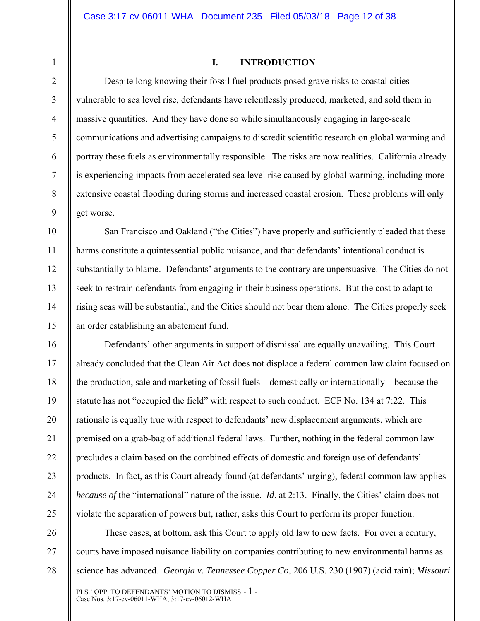1

2

3

4

5

6

7

8

9

10

11

12

13

14

15

21

#### **I. INTRODUCTION**

Despite long knowing their fossil fuel products posed grave risks to coastal cities vulnerable to sea level rise, defendants have relentlessly produced, marketed, and sold them in massive quantities. And they have done so while simultaneously engaging in large-scale communications and advertising campaigns to discredit scientific research on global warming and portray these fuels as environmentally responsible. The risks are now realities. California already is experiencing impacts from accelerated sea level rise caused by global warming, including more extensive coastal flooding during storms and increased coastal erosion. These problems will only get worse.

San Francisco and Oakland ("the Cities") have properly and sufficiently pleaded that these harms constitute a quintessential public nuisance, and that defendants' intentional conduct is substantially to blame. Defendants' arguments to the contrary are unpersuasive. The Cities do not seek to restrain defendants from engaging in their business operations. But the cost to adapt to rising seas will be substantial, and the Cities should not bear them alone. The Cities properly seek an order establishing an abatement fund.

16 17 18 19 20 22 23 24 25 Defendants' other arguments in support of dismissal are equally unavailing. This Court already concluded that the Clean Air Act does not displace a federal common law claim focused on the production, sale and marketing of fossil fuels – domestically or internationally – because the statute has not "occupied the field" with respect to such conduct. ECF No. 134 at 7:22. This rationale is equally true with respect to defendants' new displacement arguments, which are premised on a grab-bag of additional federal laws. Further, nothing in the federal common law precludes a claim based on the combined effects of domestic and foreign use of defendants' products. In fact, as this Court already found (at defendants' urging), federal common law applies *because of* the "international" nature of the issue. *Id.* at 2:13. Finally, the Cities' claim does not violate the separation of powers but, rather, asks this Court to perform its proper function.

26 27 28 These cases, at bottom, ask this Court to apply old law to new facts. For over a century, courts have imposed nuisance liability on companies contributing to new environmental harms as science has advanced. *Georgia v. Tennessee Copper Co*, 206 U.S. 230 (1907) (acid rain); *Missouri*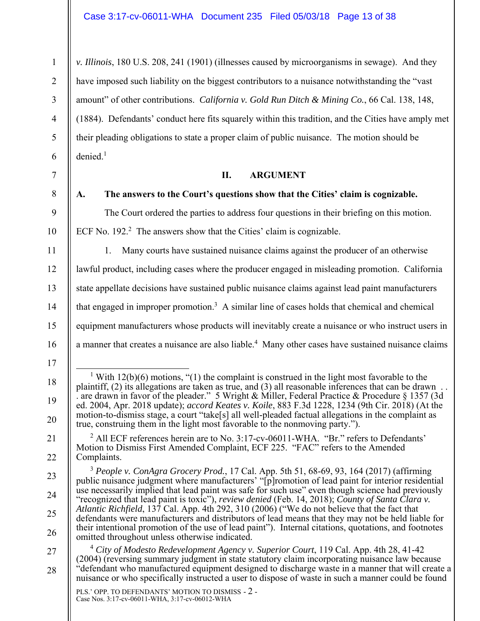*v. Illinois*, 180 U.S. 208, 241 (1901) (illnesses caused by microorganisms in sewage). And they have imposed such liability on the biggest contributors to a nuisance notwithstanding the "vast amount" of other contributions. *California v. Gold Run Ditch & Mining Co.*, 66 Cal. 138, 148, (1884). Defendants' conduct here fits squarely within this tradition, and the Cities have amply met their pleading obligations to state a proper claim of public nuisance. The motion should be  $denied.<sup>1</sup>$ 

## **II. ARGUMENT**

8

1

2

3

4

5

6

7

9

10

11

12

13

14

15

16

17

18

19

20

21

22

23

24

25

26

#### **A. The answers to the Court's questions show that the Cities' claim is cognizable.**

The Court ordered the parties to address four questions in their briefing on this motion.

ECF No.  $192<sup>2</sup>$  The answers show that the Cities' claim is cognizable.

1. Many courts have sustained nuisance claims against the producer of an otherwise lawful product, including cases where the producer engaged in misleading promotion. California state appellate decisions have sustained public nuisance claims against lead paint manufacturers that engaged in improper promotion.<sup>3</sup> A similar line of cases holds that chemical and chemical equipment manufacturers whose products will inevitably create a nuisance or who instruct users in a manner that creates a nuisance are also liable.<sup>4</sup> Many other cases have sustained nuisance claims

<sup>2</sup> All ECF references herein are to No. 3:17-cv-06011-WHA. "Br." refers to Defendants' Motion to Dismiss First Amended Complaint, ECF 225. "FAC" refers to the Amended Complaints.

 $\overline{\phantom{0}1}$ <sup>1</sup> With 12(b)(6) motions, "(1) the complaint is construed in the light most favorable to the plaintiff, (2) its allegations are taken as true, and (3) all reasonable inferences that can be drawn . . . are drawn in favor of the pleader." 5 Wright & Miller, Federal Practice & Procedure § 1357 (3d ed. 2004, Apr. 2018 update); *accord Keates v. Koile*, 883 F.3d 1228, 1234 (9th Cir. 2018) (At the motion-to-dismiss stage, a court "take[s] all well-pleaded factual allegations in the complaint as true, construing them in the light most favorable to the nonmoving party.").

<sup>3</sup> *People v. ConAgra Grocery Prod.*, 17 Cal. App. 5th 51, 68-69, 93, 164 (2017) (affirming public nuisance judgment where manufacturers' "[p]romotion of lead paint for interior residential use necessarily implied that lead paint was safe for such use" even though science had previously "recognized that lead paint is toxic"), *review denied* (Feb. 14, 2018); *County of Santa Clara v. Atlantic Richfield*, 137 Cal. App. 4th 292, 310 (2006) ("We do not believe that the fact that defendants were manufacturers and distributors of lead means that they may not be held liable for their intentional promotion of the use of lead paint"). Internal citations, quotations, and footnotes omitted throughout unless otherwise indicated.

<sup>27</sup>  28 <sup>4</sup> *City of Modesto Redevelopment Agency v. Superior Court*, 119 Cal. App. 4th 28, 41-42 (2004) (reversing summary judgment in state statutory claim incorporating nuisance law because "defendant who manufactured equipment designed to discharge waste in a manner that will create a nuisance or who specifically instructed a user to dispose of waste in such a manner could be found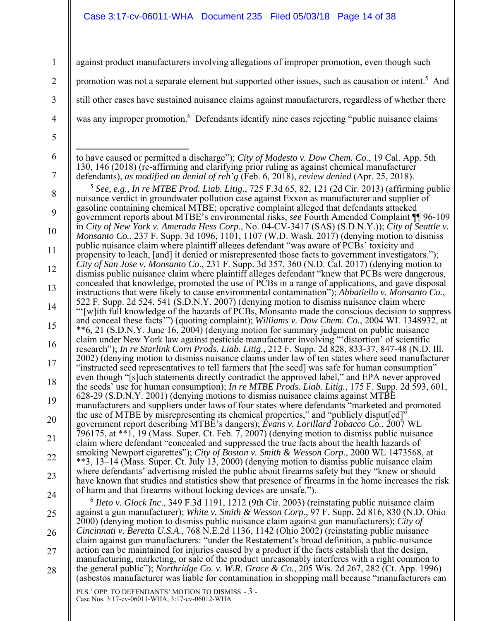#### Case 3:17-cv-06011-WHA Document 235 Filed 05/03/18 Page 14 of 38

1 2 3 4 5 6 7 8 9 10 11 12 13 14 15 16 17 18 19 20 21 22 23 24 25 26 27 28 against product manufacturers involving allegations of improper promotion, even though such promotion was not a separate element but supported other issues, such as causation or intent.<sup>5</sup> And still other cases have sustained nuisance claims against manufacturers, regardless of whether there was any improper promotion.<sup>6</sup> Defendants identify nine cases rejecting "public nuisance claims  $\overline{a}$ to have caused or permitted a discharge"); *City of Modesto v. Dow Chem. Co.*, 19 Cal. App. 5th 130, 146 (2018) (re-affirming and clarifying prior ruling as against chemical manufacturer defendants), *as modified on denial of reh'g* (Feb. 6, 2018), *review denied* (Apr. 25, 2018). <sup>5</sup> *See, e.g., In re MTBE Prod. Liab. Litig.*, 725 F.3d 65, 82, 121 (2d Cir. 2013) (affirming public nuisance verdict in groundwater pollution case against Exxon as manufacturer and supplier of gasoline containing chemical MTBE; operative complaint alleged that defendants attacked government reports about MTBE's environmental risks, *see* Fourth Amended Complaint ¶¶ 96-109 in *City of New York v. Amerada Hess Corp.*, No. 04-CV-3417 (SAS) (S.D.N.Y.)); *City of Seattle v. Monsanto Co.*, 237 F. Supp. 3d 1096, 1101, 1107 (W.D. Wash. 2017) (denying motion to dismiss public nuisance claim where plaintiff alleges defendant "was aware of PCBs' toxicity and propensity to leach, [and] it denied or misrepresented those facts to government investigators."); *City of San Jose v. Monsanto Co*., 231 F. Supp. 3d 357, 360 (N.D. Cal. 2017) (denying motion to dismiss public nuisance claim where plaintiff alleges defendant "knew that PCBs were dangerous, concealed that knowledge, promoted the use of PCBs in a range of applications, and gave disposal instructions that were likely to cause environmental contamination"); *Abbatiello v. Monsanto Co.*, 522 F. Supp. 2d 524, 541 (S.D.N.Y. 2007) (denying motion to dismiss nuisance claim where "'[w]ith full knowledge of the hazards of PCBs, Monsanto made the conscious decision to suppress and conceal these facts'") (quoting complaint); *Williams v. Dow Chem. Co.*, 2004 WL 1348932, at \*\*6, 21 (S.D.N.Y. June 16, 2004) (denying motion for summary judgment on public nuisance claim under New York law against pesticide manufacturer involving "'distortion' of scientific research"); *In re Starlink Corn Prods. Liab. Litig.*, 212 F. Supp. 2d 828, 833-37, 847-48 (N.D. Ill. 2002) (denying motion to dismiss nuisance claims under law of ten states where seed manufacturer "instructed seed representatives to tell farmers that [the seed] was safe for human consumption" even though "[s]uch statements directly contradict the approved label," and EPA never approved the seeds' use for human consumption); *In re MTBE Prods. Liab. Litig.*, 175 F. Supp. 2d 593, 601, 628-29 (S.D.N.Y. 2001) (denying motions to dismiss nuisance claims against MTBE manufacturers and suppliers under laws of four states where defendants "marketed and promoted the use of MTBE by misrepresenting its chemical properties," and "publicly disput[ed]" government report describing MTBE's dangers); *Evans v. Lorillard Tobacco Co.*, 2007 WL 796175, at \*\*1, 19 (Mass. Super. Ct. Feb. 7, 2007) (denying motion to dismiss public nuisance claim where defendant "concealed and suppressed the true facts about the health hazards of smoking Newport cigarettes"); *City of Boston v. Smith & Wesson Corp.*, 2000 WL 1473568, at \*\*3, 13–14 (Mass. Super. Ct. July 13, 2000) (denying motion to dismiss public nuisance claim where defendants' advertising misled the public about firearms safety but they "knew or should have known that studies and statistics show that presence of firearms in the home increases the risk of harm and that firearms without locking devices are unsafe."). <sup>6</sup> Heto v. Glock Inc., 349 F.3d 1191, 1212 (9th Cir. 2003) (reinstating public nuisance claim against a gun manufacturer); *White v. Smith & Wesson Corp.*, 97 F. Supp. 2d 816, 830 (N.D. Ohio 2000) (denying motion to dismiss public nuisance claim against gun manufacturers); *City of Cincinnati v. Beretta U.S.A.*, 768 N.E.2d 1136, 1142 (Ohio 2002) (reinstating public nuisance claim against gun manufacturers: "under the Restatement's broad definition, a public-nuisance action can be maintained for injuries caused by a product if the facts establish that the design, manufacturing, marketing, or sale of the product unreasonably interferes with a right common to the general public"); *Northridge Co. v. W.R. Grace & Co.*, 205 Wis. 2d 267, 282 (Ct. App. 1996) (asbestos manufacturer was liable for contamination in shopping mall because "manufacturers can

PLS.' OPP. TO DEFENDANTS' MOTION TO DISMISS - 3 - Case Nos. 3:17-cv-06011-WHA, 3:17-cv-06012-WHA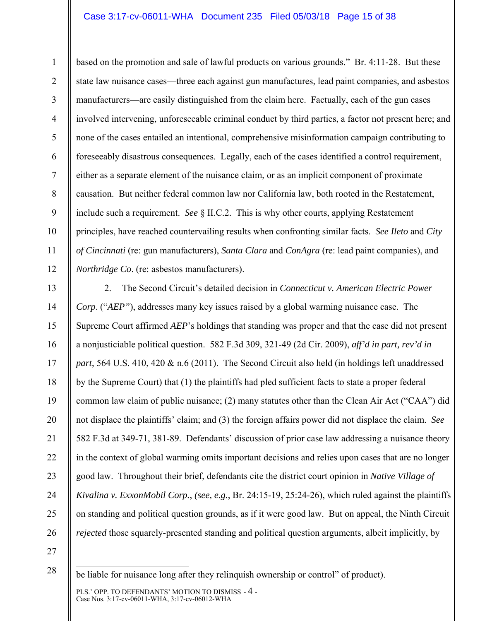#### Case 3:17-cv-06011-WHA Document 235 Filed 05/03/18 Page 15 of 38

based on the promotion and sale of lawful products on various grounds." Br. 4:11-28. But these state law nuisance cases—three each against gun manufactures, lead paint companies, and asbestos manufacturers—are easily distinguished from the claim here. Factually, each of the gun cases involved intervening, unforeseeable criminal conduct by third parties, a factor not present here; and none of the cases entailed an intentional, comprehensive misinformation campaign contributing to foreseeably disastrous consequences. Legally, each of the cases identified a control requirement, either as a separate element of the nuisance claim, or as an implicit component of proximate causation. But neither federal common law nor California law, both rooted in the Restatement, include such a requirement. *See* § II.C.2. This is why other courts, applying Restatement principles, have reached countervailing results when confronting similar facts. *See Ileto* and *City of Cincinnati* (re: gun manufacturers), *Santa Clara* and *ConAgra* (re: lead paint companies), and *Northridge Co*. (re: asbestos manufacturers).

13 14 15 16 17 18 19 20 21 22 23 24 25 26 2. The Second Circuit's detailed decision in *Connecticut v. American Electric Power Corp*. ("*AEP"*), addresses many key issues raised by a global warming nuisance case. The Supreme Court affirmed *AEP*'s holdings that standing was proper and that the case did not present a nonjusticiable political question. 582 F.3d 309, 321-49 (2d Cir. 2009), *aff'd in part, rev'd in part*, 564 U.S. 410, 420 & n.6 (2011). The Second Circuit also held (in holdings left unaddressed by the Supreme Court) that (1) the plaintiffs had pled sufficient facts to state a proper federal common law claim of public nuisance; (2) many statutes other than the Clean Air Act ("CAA") did not displace the plaintiffs' claim; and (3) the foreign affairs power did not displace the claim. *See* 582 F.3d at 349-71, 381-89. Defendants' discussion of prior case law addressing a nuisance theory in the context of global warming omits important decisions and relies upon cases that are no longer good law. Throughout their brief, defendants cite the district court opinion in *Native Village of Kivalina v. ExxonMobil Corp.*, *(see, e.g.*, Br. 24:15-19, 25:24-26), which ruled against the plaintiffs on standing and political question grounds, as if it were good law. But on appeal, the Ninth Circuit *rejected* those squarely-presented standing and political question arguments, albeit implicitly, by

27

28

1

2

3

4

5

6

7

8

9

10

11

 $\overline{a}$ be liable for nuisance long after they relinquish ownership or control" of product).

PLS.' OPP. TO DEFENDANTS' MOTION TO DISMISS - 4 - Case Nos. 3:17-cv-06011-WHA, 3:17-cv-06012-WHA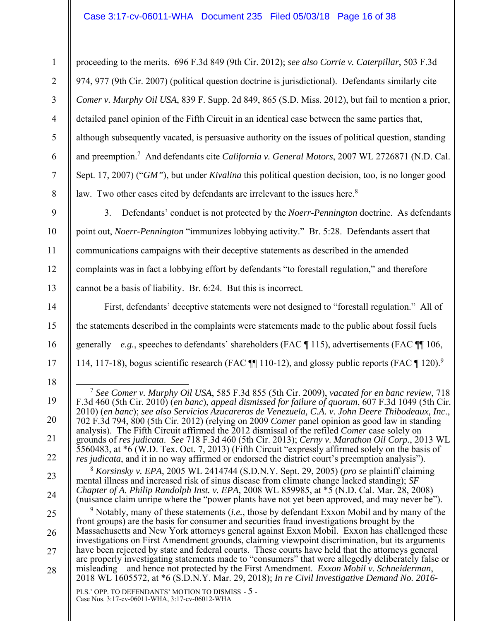## Case 3:17-cv-06011-WHA Document 235 Filed 05/03/18 Page 16 of 38

proceeding to the merits. 696 F.3d 849 (9th Cir. 2012); *see also Corrie v. Caterpillar*, 503 F.3d 974, 977 (9th Cir. 2007) (political question doctrine is jurisdictional). Defendants similarly cite *Comer v. Murphy Oil USA*, 839 F. Supp. 2d 849, 865 (S.D. Miss. 2012), but fail to mention a prior, detailed panel opinion of the Fifth Circuit in an identical case between the same parties that, although subsequently vacated, is persuasive authority on the issues of political question, standing and preemption.<sup>7</sup> And defendants cite *California v. General Motors*, 2007 WL 2726871 (N.D. Cal. Sept. 17, 2007) ("*GM"*), but under *Kivalina* this political question decision, too, is no longer good law. Two other cases cited by defendants are irrelevant to the issues here. $8$ 

1

2

3

4

5

6

7

8

9

10

11

12

13

14

15

16

17

18

19

20

21

22

23

24

3. Defendants' conduct is not protected by the *Noerr-Pennington* doctrine. As defendants point out, *Noerr-Pennington* "immunizes lobbying activity." Br. 5:28. Defendants assert that communications campaigns with their deceptive statements as described in the amended complaints was in fact a lobbying effort by defendants "to forestall regulation," and therefore cannot be a basis of liability. Br. 6:24. But this is incorrect.

First, defendants' deceptive statements were not designed to "forestall regulation." All of the statements described in the complaints were statements made to the public about fossil fuels generally—*e.g.*, speeches to defendants' shareholders (FAC ¶ 115), advertisements (FAC ¶¶ 106, 114, 117-18), bogus scientific research (FAC ¶ 110-12), and glossy public reports (FAC ¶ 120).<sup>9</sup>

- 7 *See Comer v. Murphy Oil USA*, 585 F.3d 855 (5th Cir. 2009), *vacated for en banc review*, 718 F.3d 460 (5th Cir. 2010) (*en banc*), *appeal dismissed for failure of quorum*, 607 F.3d 1049 (5th Cir. 2010) (*en banc*); *see also Servicios Azucareros de Venezuela, C.A. v. John Deere Thibodeaux, Inc*., 702 F.3d 794, 800 (5th Cir. 2012) (relying on 2009 *Comer* panel opinion as good law in standing analysis). The Fifth Circuit affirmed the 2012 dismissal of the refiled *Comer* case solely on grounds of *res judicata*. *See* 718 F.3d 460 (5th Cir. 2013); *Cerny v. Marathon Oil Corp.*, 2013 WL 5560483, at \*6 (W.D. Tex. Oct. 7, 2013) (Fifth Circuit "expressly affirmed solely on the basis of *res judicata*, and it in no way affirmed or endorsed the district court's preemption analysis"). <sup>8</sup> *Korsinsky v. EPA*, 2005 WL 2414744 (S.D.N.Y. Sept. 29, 2005) (*pro se* plaintiff claiming
	- mental illness and increased risk of sinus disease from climate change lacked standing); *SF Chapter of A. Philip Randolph Inst. v. EPA*, 2008 WL 859985, at \*5 (N.D. Cal. Mar. 28, 2008) (nuisance claim unripe where the "power plants have not yet been approved, and may never be").

25 26 27 28 9 Notably, many of these statements (*i.e.*, those by defendant Exxon Mobil and by many of the front groups) are the basis for consumer and securities fraud investigations brought by the Massachusetts and New York attorneys general against Exxon Mobil. Exxon has challenged these investigations on First Amendment grounds, claiming viewpoint discrimination, but its arguments have been rejected by state and federal courts. These courts have held that the attorneys general are properly investigating statements made to "consumers" that were allegedly deliberately false or misleading—and hence not protected by the First Amendment. *Exxon Mobil v. Schneiderman*, 2018 WL 1605572, at \*6 (S.D.N.Y. Mar. 29, 2018); *In re Civil Investigative Demand No. 2016-*

PLS.' OPP. TO DEFENDANTS' MOTION TO DISMISS - 5 - Case Nos. 3:17-cv-06011-WHA, 3:17-cv-06012-WHA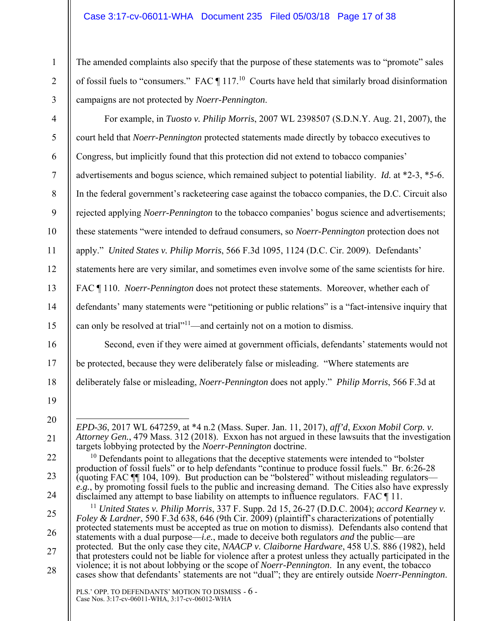## Case 3:17-cv-06011-WHA Document 235 Filed 05/03/18 Page 17 of 38

The amended complaints also specify that the purpose of these statements was to "promote" sales of fossil fuels to "consumers." FAC  $\P$  117.<sup>10</sup> Courts have held that similarly broad disinformation campaigns are not protected by *Noerr-Pennington*.

2 3

4

5

6

7

8

9

10

11

12

13

14

15

16

17

18

1

For example, in *Tuosto v. Philip Morris*, 2007 WL 2398507 (S.D.N.Y. Aug. 21, 2007), the court held that *Noerr-Pennington* protected statements made directly by tobacco executives to Congress, but implicitly found that this protection did not extend to tobacco companies' advertisements and bogus science, which remained subject to potential liability. *Id.* at \*2-3, \*5-6. In the federal government's racketeering case against the tobacco companies, the D.C. Circuit also rejected applying *Noerr-Pennington* to the tobacco companies' bogus science and advertisements; these statements "were intended to defraud consumers, so *Noerr-Pennington* protection does not apply." *United States v. Philip Morris*, 566 F.3d 1095, 1124 (D.C. Cir. 2009). Defendants' statements here are very similar, and sometimes even involve some of the same scientists for hire. FAC ¶ 110. *Noerr-Pennington* does not protect these statements. Moreover, whether each of defendants' many statements were "petitioning or public relations" is a "fact-intensive inquiry that can only be resolved at trial<sup>"11</sup>—and certainly not on a motion to dismiss.

Second, even if they were aimed at government officials, defendants' statements would not be protected, because they were deliberately false or misleading. "Where statements are deliberately false or misleading, *Noerr-Pennington* does not apply." *Philip Morris*, 566 F.3d at

19 20

21

22

23

24

25

26

27

 $\overline{a}$ *EPD-36*, 2017 WL 647259, at \*4 n.2 (Mass. Super. Jan. 11, 2017), *aff'd*, *Exxon Mobil Corp. v. Attorney Gen.*, 479 Mass. 312 (2018). Exxon has not argued in these lawsuits that the investigation targets lobbying protected by the *Noerr-Pennington* doctrine.

 $10$  Defendants point to allegations that the deceptive statements were intended to "bolster" production of fossil fuels" or to help defendants "continue to produce fossil fuels." Br. 6:26-28 (quoting FAC ¶¶ 104, 109). But production can be "bolstered" without misleading regulators *e.g.*, by promoting fossil fuels to the public and increasing demand. The Cities also have expressly disclaimed any attempt to base liability on attempts to influence regulators. FAC ¶ 11.

<sup>11</sup> *United States v. Philip Morris*, 337 F. Supp. 2d 15, 26-27 (D.D.C. 2004); *accord Kearney v. Foley & Lardner*, 590 F.3d 638, 646 (9th Cir. 2009) (plaintiff's characterizations of potentially protected statements must be accepted as true on motion to dismiss). Defendants also contend that statements with a dual purpose—*i.e.*, made to deceive both regulators *and* the public—are protected. But the only case they cite, *NAACP v. Claiborne Hardware*, 458 U.S. 886 (1982), held that protesters could not be liable for violence after a protest unless they actually participated in the violence; it is not about lobbying or the scope of *Noerr-Pennington*. In any event, the tobacco cases show that defendants' statements are not "dual"; they are entirely outside *Noerr-Pennington*.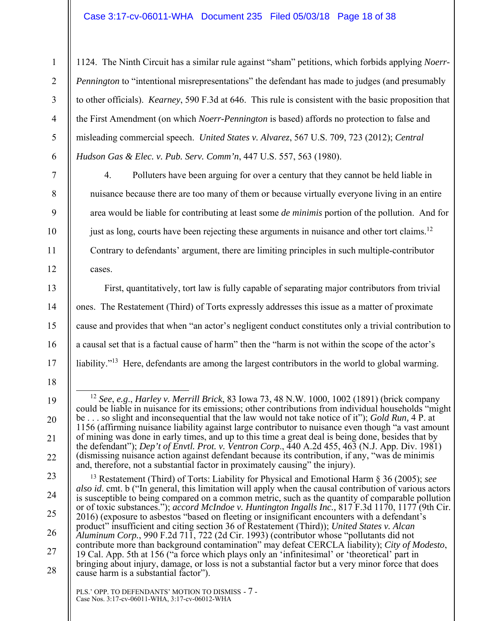## Case 3:17-cv-06011-WHA Document 235 Filed 05/03/18 Page 18 of 38

1124. The Ninth Circuit has a similar rule against "sham" petitions, which forbids applying *Noerr-Pennington* to "intentional misrepresentations" the defendant has made to judges (and presumably to other officials). *Kearney*, 590 F.3d at 646. This rule is consistent with the basic proposition that the First Amendment (on which *Noerr-Pennington* is based) affords no protection to false and misleading commercial speech. *United States v. Alvarez*, 567 U.S. 709, 723 (2012); *Central Hudson Gas & Elec. v. Pub. Serv. Comm'n*, 447 U.S. 557, 563 (1980).

4. Polluters have been arguing for over a century that they cannot be held liable in nuisance because there are too many of them or because virtually everyone living in an entire area would be liable for contributing at least some *de minimis* portion of the pollution. And for just as long, courts have been rejecting these arguments in nuisance and other tort claims.<sup>12</sup> Contrary to defendants' argument, there are limiting principles in such multiple-contributor cases.

First, quantitatively, tort law is fully capable of separating major contributors from trivial ones. The Restatement (Third) of Torts expressly addresses this issue as a matter of proximate cause and provides that when "an actor's negligent conduct constitutes only a trivial contribution to a causal set that is a factual cause of harm" then the "harm is not within the scope of the actor's liability."<sup>13</sup> Here, defendants are among the largest contributors in the world to global warming.

21

22

1

2

3

4

5

6

7

8

9

10

11

12

13

14

15

16

<sup>18</sup>  19 20

 <sup>12</sup> *See*, *e.g*., *Harley v. Merrill Brick*, 83 Iowa 73, 48 N.W. 1000, 1002 (1891) (brick company could be liable in nuisance for its emissions; other contributions from individual households "might be . . . so slight and inconsequential that the law would not take notice of it"); *Gold Run,* 4 P. at 1156 (affirming nuisance liability against large contributor to nuisance even though "a vast amount of mining was done in early times, and up to this time a great deal is being done, besides that by the defendant"); *Dep't of Envtl. Prot. v. Ventron Corp*., 440 A.2d 455, 463 (N.J. App. Div. 1981) (dismissing nuisance action against defendant because its contribution, if any, "was de minimis and, therefore, not a substantial factor in proximately causing" the injury).

<sup>23</sup>  24 25 26 27 28 13 Restatement (Third) of Torts: Liability for Physical and Emotional Harm § 36 (2005); *see also id*. cmt. b ("In general, this limitation will apply when the causal contribution of various actors is susceptible to being compared on a common metric, such as the quantity of comparable pollution or of toxic substances."); *accord McIndoe v. Huntington Ingalls Inc.,* 817 F.3d 1170, 1177 (9th Cir. 2016) (exposure to asbestos "based on fleeting or insignificant encounters with a defendant's product" insufficient and citing section 36 of Restatement (Third)); *United States v. Alcan Aluminum Corp.*, 990 F.2d 711, 722 (2d Cir. 1993) (contributor whose "pollutants did not contribute more than background contamination" may defeat CERCLA liability); *City of Modesto*, 19 Cal. App. 5th at 156 ("a force which plays only an 'infinitesimal' or 'theoretical' part in bringing about injury, damage, or loss is not a substantial factor but a very minor force that does cause harm is a substantial factor").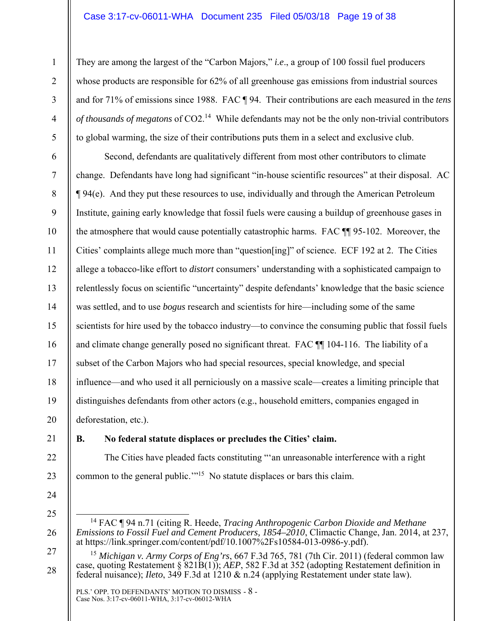#### Case 3:17-cv-06011-WHA Document 235 Filed 05/03/18 Page 19 of 38

They are among the largest of the "Carbon Majors," *i.e*., a group of 100 fossil fuel producers whose products are responsible for 62% of all greenhouse gas emissions from industrial sources and for 71% of emissions since 1988. FAC ¶ 94. Their contributions are each measured in the *tens of thousands of megatons* of CO2.14 While defendants may not be the only non-trivial contributors to global warming, the size of their contributions puts them in a select and exclusive club.

16 Second, defendants are qualitatively different from most other contributors to climate change. Defendants have long had significant "in-house scientific resources" at their disposal. AC ¶ 94(e). And they put these resources to use, individually and through the American Petroleum Institute, gaining early knowledge that fossil fuels were causing a buildup of greenhouse gases in the atmosphere that would cause potentially catastrophic harms. FAC ¶¶ 95-102. Moreover, the Cities' complaints allege much more than "question[ing]" of science. ECF 192 at 2. The Cities allege a tobacco-like effort to *distort* consumers' understanding with a sophisticated campaign to relentlessly focus on scientific "uncertainty" despite defendants' knowledge that the basic science was settled, and to use *bogus* research and scientists for hire—including some of the same scientists for hire used by the tobacco industry—to convince the consuming public that fossil fuels and climate change generally posed no significant threat. FAC ¶¶ 104-116. The liability of a subset of the Carbon Majors who had special resources, special knowledge, and special influence—and who used it all perniciously on a massive scale—creates a limiting principle that distinguishes defendants from other actors (e.g., household emitters, companies engaged in deforestation, etc.).

20 21

22

23

24

25

26

27

28

1

2

3

4

5

6

7

8

9

10

11

12

13

14

15

17

18

19

## **B. No federal statute displaces or precludes the Cities' claim.**

The Cities have pleaded facts constituting "'an unreasonable interference with a right common to the general public."<sup>15</sup> No statute displaces or bars this claim.

 <sup>14</sup> FAC ¶ 94 n.71 (citing R. Heede, *Tracing Anthropogenic Carbon Dioxide and Methane Emissions to Fossil Fuel and Cement Producers, 1854–2010*, Climactic Change, Jan. 2014, at 237, at https://link.springer.com/content/pdf/10.1007%2Fs10584-013-0986-y.pdf).

<sup>15</sup> *Michigan v. Army Corps of Eng'rs*, 667 F.3d 765, 781 (7th Cir. 2011) (federal common law case, quoting Restatement § 821B(1)); *AEP*, 582 F.3d at 352 (adopting Restatement definition in federal nuisance); *Ileto*, 349 F.3d at 1210 & n.24 (applying Restatement under state law).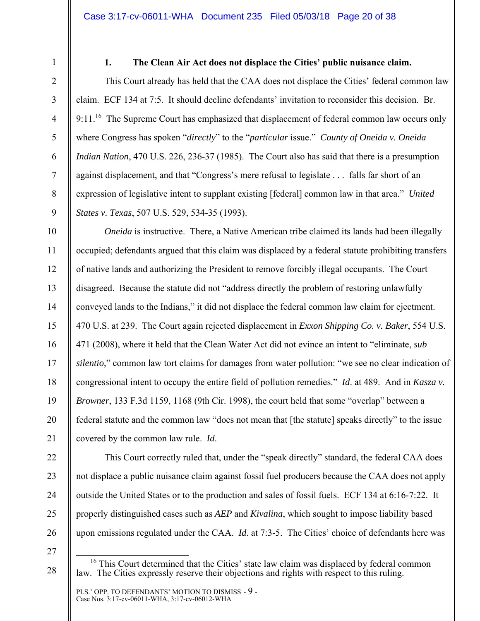2

3

4

5

6

7

8

9

10

11

12

13

14

15

16

17

18

19

20

1

# **1. The Clean Air Act does not displace the Cities' public nuisance claim.**

This Court already has held that the CAA does not displace the Cities' federal common law claim. ECF 134 at 7:5. It should decline defendants' invitation to reconsider this decision. Br. 9:11.<sup>16</sup> The Supreme Court has emphasized that displacement of federal common law occurs only where Congress has spoken "*directly*" to the "*particular* issue." *County of Oneida v. Oneida Indian Nation*, 470 U.S. 226, 236-37 (1985). The Court also has said that there is a presumption against displacement, and that "Congress's mere refusal to legislate . . . falls far short of an expression of legislative intent to supplant existing [federal] common law in that area." *United States v. Texas*, 507 U.S. 529, 534-35 (1993).

*Oneida* is instructive. There, a Native American tribe claimed its lands had been illegally occupied; defendants argued that this claim was displaced by a federal statute prohibiting transfers of native lands and authorizing the President to remove forcibly illegal occupants. The Court disagreed. Because the statute did not "address directly the problem of restoring unlawfully conveyed lands to the Indians," it did not displace the federal common law claim for ejectment. 470 U.S. at 239. The Court again rejected displacement in *Exxon Shipping Co. v. Baker*, 554 U.S. 471 (2008), where it held that the Clean Water Act did not evince an intent to "eliminate, *sub silentio*," common law tort claims for damages from water pollution: "we see no clear indication of congressional intent to occupy the entire field of pollution remedies." *Id*. at 489. And in *Kasza v. Browner*, 133 F.3d 1159, 1168 (9th Cir. 1998), the court held that some "overlap" between a federal statute and the common law "does not mean that [the statute] speaks directly" to the issue covered by the common law rule. *Id*.

This Court correctly ruled that, under the "speak directly" standard, the federal CAA does not displace a public nuisance claim against fossil fuel producers because the CAA does not apply outside the United States or to the production and sales of fossil fuels. ECF 134 at 6:16-7:22. It properly distinguished cases such as *AEP* and *Kivalina*, which sought to impose liability based upon emissions regulated under the CAA. *Id*. at 7:3-5. The Cities' choice of defendants here was

<sup>16</sup> This Court determined that the Cities' state law claim was displaced by federal common law. The Cities expressly reserve their objections and rights with respect to this ruling.

PLS.' OPP. TO DEFENDANTS' MOTION TO DISMISS - 9 - Case Nos. 3:17-cv-06011-WHA, 3:17-cv-06012-WHA

<sup>27</sup>  28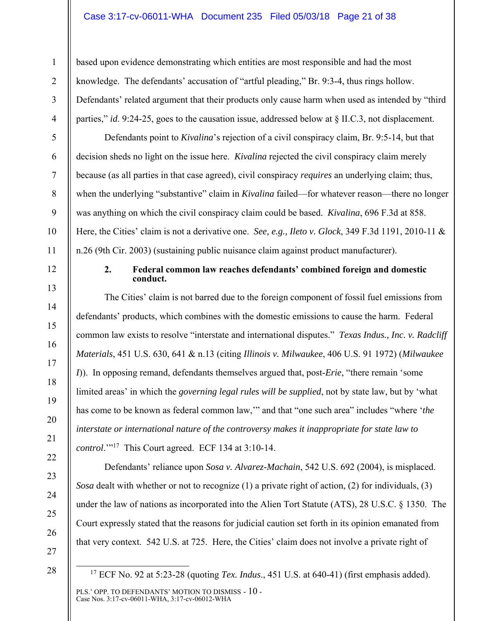#### Case 3:17-cv-06011-WHA Document 235 Filed 05/03/18 Page 21 of 38

based upon evidence demonstrating which entities are most responsible and had the most knowledge. The defendants' accusation of "artful pleading," Br. 9:3-4, thus rings hollow. Defendants' related argument that their products only cause harm when used as intended by "third parties," *id*. 9:24-25, goes to the causation issue, addressed below at § II.C.3, not displacement.

Defendants point to *Kivalina*'s rejection of a civil conspiracy claim, Br. 9:5-14, but that decision sheds no light on the issue here. *Kivalina* rejected the civil conspiracy claim merely because (as all parties in that case agreed), civil conspiracy *requires* an underlying claim; thus, when the underlying "substantive" claim in *Kivalina* failed—for whatever reason—there no longer was anything on which the civil conspiracy claim could be based. *Kivalina*, 696 F.3d at 858. Here, the Cities' claim is not a derivative one. *See, e.g., Ileto v. Glock*, 349 F.3d 1191, 2010-11 & n.26 (9th Cir. 2003) (sustaining public nuisance claim against product manufacturer).

1

2

3

4

5

6

7

8

9

10

11

12

13

14

15

16

17

18

19

20

21

22

23

24

25

26

#### **2. Federal common law reaches defendants' combined foreign and domestic conduct.**

The Cities' claim is not barred due to the foreign component of fossil fuel emissions from defendants' products, which combines with the domestic emissions to cause the harm. Federal common law exists to resolve "interstate and international disputes." *Texas Indus., Inc. v. Radcliff Materials*, 451 U.S. 630, 641 & n.13 (citing *Illinois v. Milwaukee*, 406 U.S. 91 1972) (*Milwaukee I*)). In opposing remand, defendants themselves argued that, post-*Erie*, "there remain 'some limited areas' in which the *governing legal rules will be supplied*, not by state law, but by 'what has come to be known as federal common law,'" and that "one such area" includes "where '*the interstate or international nature of the controversy makes it inappropriate for state law to control.*"<sup>17</sup> This Court agreed. ECF 134 at 3:10-14.

Defendants' reliance upon *Sosa v. Alvarez-Machain*, 542 U.S. 692 (2004), is misplaced. *Sosa* dealt with whether or not to recognize (1) a private right of action, (2) for individuals, (3) under the law of nations as incorporated into the Alien Tort Statute (ATS), 28 U.S.C. § 1350. The Court expressly stated that the reasons for judicial caution set forth in its opinion emanated from that very context. 542 U.S. at 725. Here, the Cities' claim does not involve a private right of

27 28

PLS.' OPP. TO DEFENDANTS' MOTION TO DISMISS - 10 - Case Nos. 3:17-cv-06011-WHA, 3:17-cv-06012-WHA

 <sup>17</sup> ECF No. 92 at 5:23-28 (quoting *Tex. Indus*., 451 U.S. at 640-41) (first emphasis added).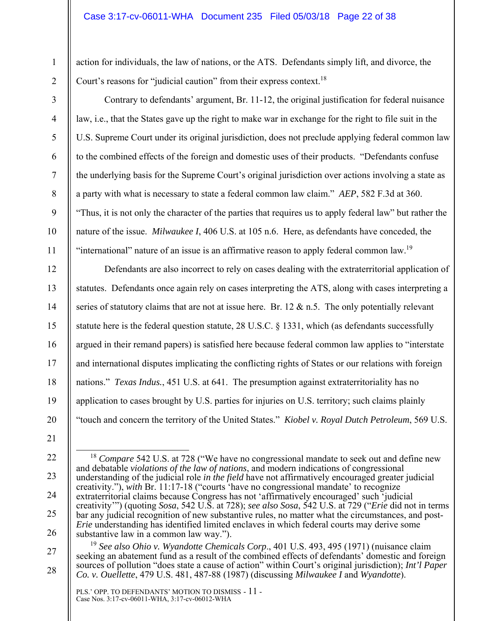## Case 3:17-cv-06011-WHA Document 235 Filed 05/03/18 Page 22 of 38

action for individuals, the law of nations, or the ATS. Defendants simply lift, and divorce, the Court's reasons for "judicial caution" from their express context.<sup>18</sup>

2 3

4

5

6

7

8

9

10

11

12

13

14

15

16

17

18

19

20

1

Contrary to defendants' argument, Br. 11-12, the original justification for federal nuisance law, i.e., that the States gave up the right to make war in exchange for the right to file suit in the U.S. Supreme Court under its original jurisdiction, does not preclude applying federal common law to the combined effects of the foreign and domestic uses of their products. "Defendants confuse the underlying basis for the Supreme Court's original jurisdiction over actions involving a state as a party with what is necessary to state a federal common law claim." *AEP*, 582 F.3d at 360. "Thus, it is not only the character of the parties that requires us to apply federal law" but rather the nature of the issue. *Milwaukee I*, 406 U.S. at 105 n.6. Here, as defendants have conceded, the "international" nature of an issue is an affirmative reason to apply federal common law.<sup>19</sup>

Defendants are also incorrect to rely on cases dealing with the extraterritorial application of statutes. Defendants once again rely on cases interpreting the ATS, along with cases interpreting a series of statutory claims that are not at issue here. Br.  $12 \& n.5$ . The only potentially relevant statute here is the federal question statute, 28 U.S.C. § 1331, which (as defendants successfully argued in their remand papers) is satisfied here because federal common law applies to "interstate and international disputes implicating the conflicting rights of States or our relations with foreign nations." *Texas Indus.*, 451 U.S. at 641. The presumption against extraterritoriality has no application to cases brought by U.S. parties for injuries on U.S. territory; such claims plainly "touch and concern the territory of the United States." *Kiobel v. Royal Dutch Petroleum*, 569 U.S.

- 21 22
- 23
- 24
- 
- 25
- 26

28

<sup>18</sup> *Compare* 542 U.S. at 728 ("We have no congressional mandate to seek out and define new

creativity'") (quoting *Sosa*, 542 U.S. at 728); *see also Sosa*, 542 U.S. at 729 ("*Erie* did not in terms bar any judicial recognition of new substantive rules, no matter what the circumstances, and post-

understanding of the judicial role *in the field* have not affirmatively encouraged greater judicial

and debatable *violations of the law of nations*, and modern indications of congressional

creativity."), *with* Br. 11:17-18 ("courts 'have no congressional mandate' to recognize extraterritorial claims because Congress has not 'affirmatively encouraged' such 'judicial

<sup>27</sup> 

*Erie* understanding has identified limited enclaves in which federal courts may derive some substantive law in a common law way."). <sup>19</sup> *See also Ohio v. Wyandotte Chemicals Corp*., 401 U.S. 493, 495 (1971) (nuisance claim seeking an abatement fund as a result of the combined effects of defendants' domestic and foreign sources of pollution "does state a cause of action" within Court's original jurisdiction); *Int'l Paper Co. v. Ouellette*, 479 U.S. 481, 487-88 (1987) (discussing *Milwaukee I* and *Wyandotte*).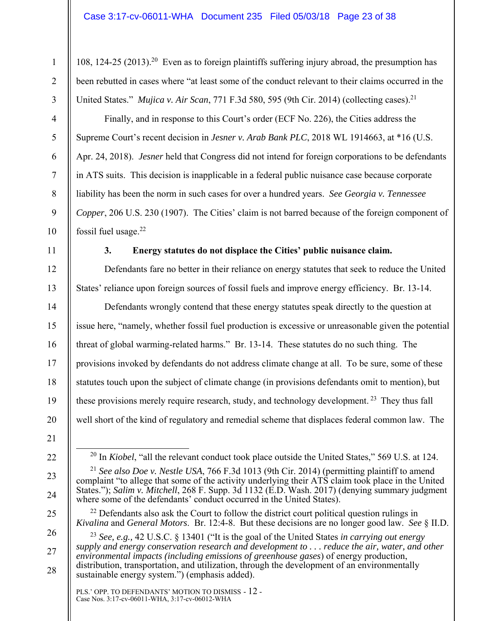108, 124-25 (2013).20 Even as to foreign plaintiffs suffering injury abroad, the presumption has been rebutted in cases where "at least some of the conduct relevant to their claims occurred in the United States." *Mujica v. Air Scan*, 771 F.3d 580, 595 (9th Cir. 2014) (collecting cases).<sup>21</sup>

- Finally, and in response to this Court's order (ECF No. 226), the Cities address the Supreme Court's recent decision in *Jesner v. Arab Bank PLC*, 2018 WL 1914663, at \*16 (U.S. Apr. 24, 2018). *Jesner* held that Congress did not intend for foreign corporations to be defendants in ATS suits. This decision is inapplicable in a federal public nuisance case because corporate liability has been the norm in such cases for over a hundred years. *See Georgia v. Tennessee Copper*, 206 U.S. 230 (1907). The Cities' claim is not barred because of the foreign component of fossil fuel usage. $22$
- 11

1

2

3

4

5

6

7

8

9

10

12

13

14

15

16

17

18

19

20

# **3. Energy statutes do not displace the Cities' public nuisance claim.**

Defendants fare no better in their reliance on energy statutes that seek to reduce the United States' reliance upon foreign sources of fossil fuels and improve energy efficiency. Br. 13-14.

Defendants wrongly contend that these energy statutes speak directly to the question at issue here, "namely, whether fossil fuel production is excessive or unreasonable given the potential threat of global warming-related harms." Br. 13-14. These statutes do no such thing. The provisions invoked by defendants do not address climate change at all. To be sure, some of these statutes touch upon the subject of climate change (in provisions defendants omit to mention), but these provisions merely require research, study, and technology development.<sup>23</sup> They thus fall well short of the kind of regulatory and remedial scheme that displaces federal common law. The

- 21
- 22
- 23

24

25

28

 $^{22}$  Defendants also ask the Court to follow the district court political question rulings in *Kivalina* and *General Motors*. Br. 12:4-8. But these decisions are no longer good law. *See* § II.D.

<sup>20</sup> In *Kiobel*, "all the relevant conduct took place outside the United States," 569 U.S. at 124. <sup>21</sup> *See also Doe v. Nestle USA*, 766 F.3d 1013 (9th Cir. 2014) (permitting plaintiff to amend complaint "to allege that some of the activity underlying their ATS claim took place in the United States."); *Salim v. Mitchell*, 268 F. Supp. 3d 1132 (E.D. Wash. 2017) (denying summary judgment

where some of the defendants' conduct occurred in the United States).

<sup>26</sup>  27

<sup>23</sup> *See, e.g.,* 42 U.S.C. § 13401 ("It is the goal of the United States *in carrying out energy supply and energy conservation research and development to . . . reduce the air, water, and other environmental impacts (including emissions of greenhouse gases*) of energy production, distribution, transportation, and utilization, through the development of an environmentally sustainable energy system.") (emphasis added).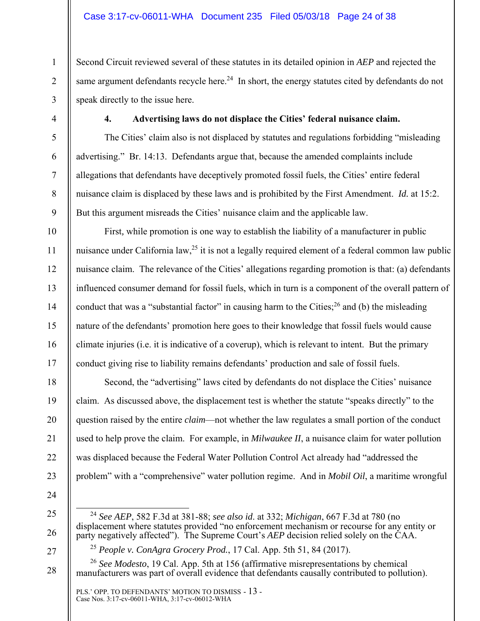Second Circuit reviewed several of these statutes in its detailed opinion in *AEP* and rejected the same argument defendants recycle here.<sup>24</sup> In short, the energy statutes cited by defendants do not speak directly to the issue here.

1

2

3

4

5

6

7

8

9

10

11

12

13

14

15

16

17

18

19

20

21

22

23

## **4. Advertising laws do not displace the Cities' federal nuisance claim.**

The Cities' claim also is not displaced by statutes and regulations forbidding "misleading advertising." Br. 14:13. Defendants argue that, because the amended complaints include allegations that defendants have deceptively promoted fossil fuels, the Cities' entire federal nuisance claim is displaced by these laws and is prohibited by the First Amendment. *Id.* at 15:2. But this argument misreads the Cities' nuisance claim and the applicable law.

First*,* while promotion is one way to establish the liability of a manufacturer in public nuisance under California law,  $^{25}$  it is not a legally required element of a federal common law public nuisance claim. The relevance of the Cities' allegations regarding promotion is that: (a) defendants influenced consumer demand for fossil fuels, which in turn is a component of the overall pattern of conduct that was a "substantial factor" in causing harm to the Cities;  $^{26}$  and (b) the misleading nature of the defendants' promotion here goes to their knowledge that fossil fuels would cause climate injuries (i.e. it is indicative of a coverup), which is relevant to intent. But the primary conduct giving rise to liability remains defendants' production and sale of fossil fuels.

Second, the "advertising" laws cited by defendants do not displace the Cities' nuisance claim. As discussed above, the displacement test is whether the statute "speaks directly" to the question raised by the entire *claim*—not whether the law regulates a small portion of the conduct used to help prove the claim. For example, in *Milwaukee II*, a nuisance claim for water pollution was displaced because the Federal Water Pollution Control Act already had "addressed the problem" with a "comprehensive" water pollution regime. And in *Mobil Oil*, a maritime wrongful

- 24
- 25

 <sup>24</sup> *See AEP*, 582 F.3d at 381-88; *see also id*. at 332; *Michigan*, 667 F.3d at 780 (no displacement where statutes provided "no enforcement mechanism or recourse for any entity or party negatively affected"). The Supreme Court's *AEP* decision relied solely on the CAA.

<sup>25</sup> *People v. ConAgra Grocery Prod.*, 17 Cal. App. 5th 51, 84 (2017).

<sup>26</sup> *See Modesto*, 19 Cal. App. 5th at 156 (affirmative misrepresentations by chemical manufacturers was part of overall evidence that defendants causally contributed to pollution).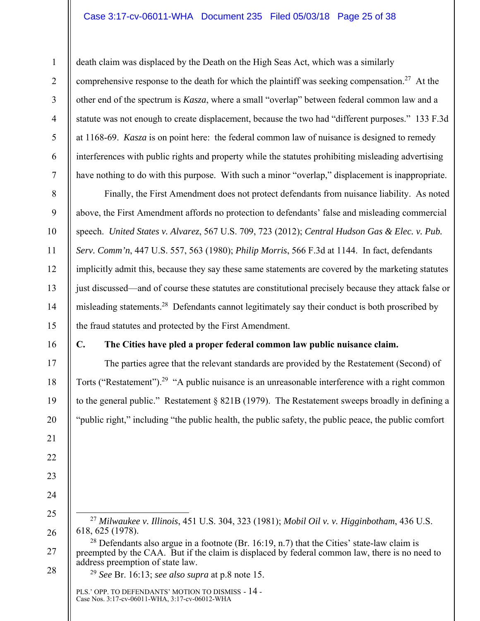## Case 3:17-cv-06011-WHA Document 235 Filed 05/03/18 Page 25 of 38

death claim was displaced by the Death on the High Seas Act, which was a similarly comprehensive response to the death for which the plaintiff was seeking compensation.<sup>27</sup> At the other end of the spectrum is *Kasza*, where a small "overlap" between federal common law and a statute was not enough to create displacement, because the two had "different purposes." 133 F.3d at 1168-69. *Kasza* is on point here: the federal common law of nuisance is designed to remedy interferences with public rights and property while the statutes prohibiting misleading advertising have nothing to do with this purpose. With such a minor "overlap," displacement is inappropriate.

Finally, the First Amendment does not protect defendants from nuisance liability. As noted above, the First Amendment affords no protection to defendants' false and misleading commercial speech. *United States v. Alvarez*, 567 U.S. 709, 723 (2012); *Central Hudson Gas & Elec. v. Pub. Serv. Comm'n*, 447 U.S. 557, 563 (1980); *Philip Morris*, 566 F.3d at 1144. In fact, defendants implicitly admit this, because they say these same statements are covered by the marketing statutes just discussed—and of course these statutes are constitutional precisely because they attack false or misleading statements.28 Defendants cannot legitimately say their conduct is both proscribed by the fraud statutes and protected by the First Amendment.

16

1

2

3

4

5

6

7

8

9

10

11

12

13

14

15

17

18

19

20

21

22

23

24

25

26

## **C. The Cities have pled a proper federal common law public nuisance claim.**

The parties agree that the relevant standards are provided by the Restatement (Second) of Torts ("Restatement").<sup>29</sup> "A public nuisance is an unreasonable interference with a right common to the general public." Restatement § 821B (1979). The Restatement sweeps broadly in defining a "public right," including "the public health, the public safety, the public peace, the public comfort

 27 *Milwaukee v. Illinois*, 451 U.S. 304, 323 (1981); *Mobil Oil v. v. Higginbotham*, 436 U.S. 618, 625 (1978).

27 28  $28$  Defendants also argue in a footnote (Br. 16:19, n.7) that the Cities' state-law claim is preempted by the CAA. But if the claim is displaced by federal common law, there is no need to address preemption of state law.

<sup>29</sup> *See* Br. 16:13; *see also supra* at p.8 note 15.

PLS.' OPP. TO DEFENDANTS' MOTION TO DISMISS - 14 - Case Nos. 3:17-cv-06011-WHA, 3:17-cv-06012-WHA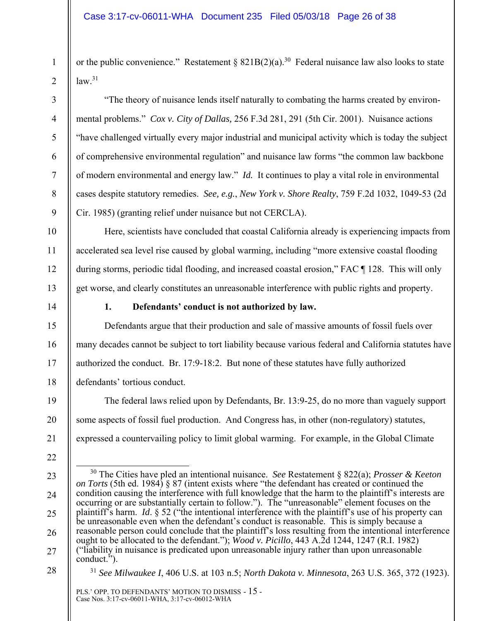or the public convenience." Restatement §  $821B(2)(a)$ .<sup>30</sup> Federal nuisance law also looks to state  $law<sup>31</sup>$ 

"The theory of nuisance lends itself naturally to combating the harms created by environmental problems." *Cox v. City of Dallas,* 256 F.3d 281, 291 (5th Cir. 2001). Nuisance actions "have challenged virtually every major industrial and municipal activity which is today the subject of comprehensive environmental regulation" and nuisance law forms "the common law backbone of modern environmental and energy law." *Id.* It continues to play a vital role in environmental cases despite statutory remedies. *See, e.g.*, *New York v. Shore Realty*, 759 F.2d 1032, 1049-53 (2d Cir. 1985) (granting relief under nuisance but not CERCLA).

Here, scientists have concluded that coastal California already is experiencing impacts from accelerated sea level rise caused by global warming, including "more extensive coastal flooding during storms, periodic tidal flooding, and increased coastal erosion," FAC ¶ 128. This will only get worse, and clearly constitutes an unreasonable interference with public rights and property.

1

2

3

4

5

6

7

8

9

10

11

12

13

14

15

16

17

18

19

20

21

22

23

24

25

26

27

# **1. Defendants' conduct is not authorized by law.**

Defendants argue that their production and sale of massive amounts of fossil fuels over many decades cannot be subject to tort liability because various federal and California statutes have authorized the conduct. Br. 17:9-18:2. But none of these statutes have fully authorized defendants' tortious conduct.

The federal laws relied upon by Defendants, Br. 13:9-25, do no more than vaguely support some aspects of fossil fuel production. And Congress has, in other (non-regulatory) statutes, expressed a countervailing policy to limit global warming. For example, in the Global Climate

<sup>31</sup> *See Milwaukee I*, 406 U.S. at 103 n.5; *North Dakota v. Minnesota*, 263 U.S. 365, 372 (1923).

 <sup>30</sup> The Cities have pled an intentional nuisance. *See* Restatement § 822(a); *Prosser & Keeton on Torts* (5th ed. 1984) § 87 (intent exists where "the defendant has created or continued the condition causing the interference with full knowledge that the harm to the plaintiff's interests are occurring or are substantially certain to follow."). The "unreasonable" element focuses on the plaintiff's harm. *Id*. § 52 ("the intentional interference with the plaintiff's use of his property can be unreasonable even when the defendant's conduct is reasonable. This is simply because a reasonable person could conclude that the plaintiff's loss resulting from the intentional interference ought to be allocated to the defendant."); *Wood v. Picillo*, 443 A.2d 1244, 1247 (R.I. 1982) ("liability in nuisance is predicated upon unreasonable injury rather than upon unreasonable conduct.").

<sup>28</sup>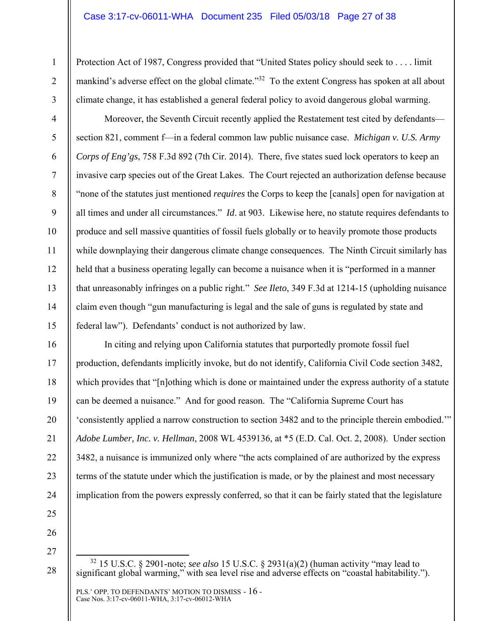Protection Act of 1987, Congress provided that "United States policy should seek to . . . . limit mankind's adverse effect on the global climate."<sup>32</sup> To the extent Congress has spoken at all about climate change, it has established a general federal policy to avoid dangerous global warming.

Moreover, the Seventh Circuit recently applied the Restatement test cited by defendants section 821, comment f—in a federal common law public nuisance case. *Michigan v. U.S. Army Corps of Eng'gs*, 758 F.3d 892 (7th Cir. 2014). There, five states sued lock operators to keep an invasive carp species out of the Great Lakes. The Court rejected an authorization defense because "none of the statutes just mentioned *requires* the Corps to keep the [canals] open for navigation at all times and under all circumstances." *Id*. at 903. Likewise here, no statute requires defendants to produce and sell massive quantities of fossil fuels globally or to heavily promote those products while downplaying their dangerous climate change consequences. The Ninth Circuit similarly has held that a business operating legally can become a nuisance when it is "performed in a manner" that unreasonably infringes on a public right." *See Ileto*, 349 F.3d at 1214-15 (upholding nuisance claim even though "gun manufacturing is legal and the sale of guns is regulated by state and federal law"). Defendants' conduct is not authorized by law.

In citing and relying upon California statutes that purportedly promote fossil fuel production, defendants implicitly invoke, but do not identify, California Civil Code section 3482, which provides that "[n]othing which is done or maintained under the express authority of a statute can be deemed a nuisance." And for good reason. The "California Supreme Court has 'consistently applied a narrow construction to section 3482 and to the principle therein embodied.'" *Adobe Lumber, Inc. v. Hellman*, 2008 WL 4539136, at \*5 (E.D. Cal. Oct. 2, 2008). Under section 3482, a nuisance is immunized only where "the acts complained of are authorized by the express terms of the statute under which the justification is made, or by the plainest and most necessary implication from the powers expressly conferred, so that it can be fairly stated that the legislature

26

1

2

3

4

5

6

7

8

9

10

11

12

13

14

15

16

17

18

19

20

21

22

23

24

25

27

 <sup>32 15</sup> U.S.C. § 2901-note; *see also* 15 U.S.C. § 2931(a)(2) (human activity "may lead to significant global warming," with sea level rise and adverse effects on "coastal habitability.").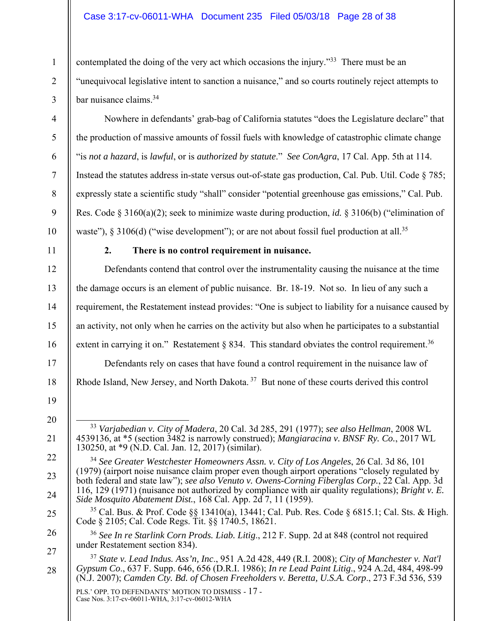## Case 3:17-cv-06011-WHA Document 235 Filed 05/03/18 Page 28 of 38

contemplated the doing of the very act which occasions the injury."<sup>33</sup> There must be an "unequivocal legislative intent to sanction a nuisance," and so courts routinely reject attempts to bar nuisance claims.34

Nowhere in defendants' grab-bag of California statutes "does the Legislature declare" that the production of massive amounts of fossil fuels with knowledge of catastrophic climate change "is *not a hazard*, is *lawful*, or is *authorized by statute*." *See ConAgra*, 17 Cal. App. 5th at 114. Instead the statutes address in-state versus out-of-state gas production, Cal. Pub. Util. Code § 785; expressly state a scientific study "shall" consider "potential greenhouse gas emissions," Cal. Pub. Res. Code § 3160(a)(2); seek to minimize waste during production, *id.* § 3106(b) ("elimination of waste"), § 3106(d) ("wise development"); or are not about fossil fuel production at all.<sup>35</sup>

1

2

3

4

5

6

7

8

9

10

11

12

13

14

15

16

17

18

19

20

21

22

23

24

25

26

27

28

## **2. There is no control requirement in nuisance.**

Defendants contend that control over the instrumentality causing the nuisance at the time the damage occurs is an element of public nuisance. Br. 18-19. Not so. In lieu of any such a requirement, the Restatement instead provides: "One is subject to liability for a nuisance caused by an activity, not only when he carries on the activity but also when he participates to a substantial extent in carrying it on." Restatement  $\S$  834. This standard obviates the control requirement.<sup>36</sup> Defendants rely on cases that have found a control requirement in the nuisance law of Rhode Island, New Jersey, and North Dakota. 37 But none of these courts derived this control

<sup>35</sup> Cal. Bus. & Prof. Code §§ 13410(a), 13441; Cal. Pub. Res. Code § 6815.1; Cal. Sts. & High. Code § 2105; Cal. Code Regs. Tit. §§ 1740.5, 18621.

 <sup>33</sup> *Varjabedian v. City of Madera*, 20 Cal. 3d 285, 291 (1977); *see also Hellman*, 2008 WL 4539136, at \*5 (section 3482 is narrowly construed); *Mangiaracina v. BNSF Ry. Co.*, 2017 WL 130250, at \*9 (N.D. Cal. Jan. 12, 2017) (similar).

<sup>34</sup> *See Greater Westchester Homeowners Assn. v. City of Los Angeles*, 26 Cal. 3d 86, 101 (1979) (airport noise nuisance claim proper even though airport operations "closely regulated by both federal and state law"); *see also Venuto v. Owens-Corning Fiberglas Corp.*, 22 Cal. App. 3d 116, 129 (1971) (nuisance not authorized by compliance with air quality regulations); *Bright v. E. Side Mosquito Abatement Dist.*, 168 Cal. App. 2d 7, 11 (1959).

<sup>36</sup> *See In re Starlink Corn Prods. Liab. Litig*., 212 F. Supp. 2d at 848 (control not required under Restatement section 834).

<sup>37</sup> *State v. Lead Indus. Ass'n, Inc*., 951 A.2d 428, 449 (R.I. 2008); *City of Manchester v. Nat'l Gypsum Co*., 637 F. Supp. 646, 656 (D.R.I. 1986); *In re Lead Paint Litig*., 924 A.2d, 484, 498-99 (N.J. 2007); *Camden Cty. Bd. of Chosen Freeholders v. Beretta, U.S.A. Corp*., 273 F.3d 536, 539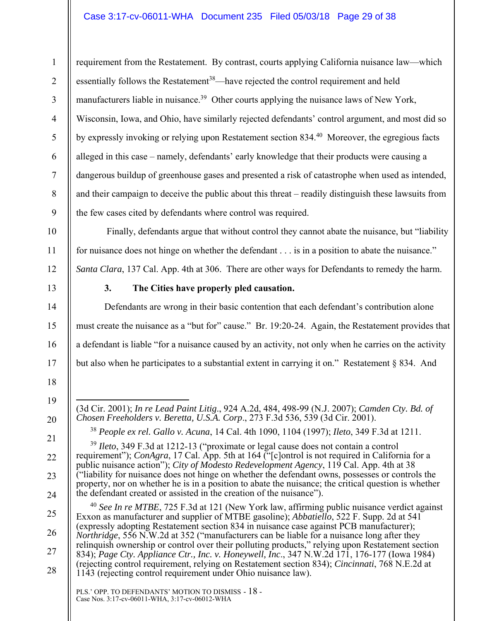## Case 3:17-cv-06011-WHA Document 235 Filed 05/03/18 Page 29 of 38

requirement from the Restatement. By contrast, courts applying California nuisance law—which essentially follows the Restatement<sup>38</sup>—have rejected the control requirement and held manufacturers liable in nuisance.<sup>39</sup> Other courts applying the nuisance laws of New York, Wisconsin, Iowa, and Ohio, have similarly rejected defendants' control argument, and most did so by expressly invoking or relying upon Restatement section 834.<sup>40</sup> Moreover, the egregious facts alleged in this case – namely, defendants' early knowledge that their products were causing a dangerous buildup of greenhouse gases and presented a risk of catastrophe when used as intended, and their campaign to deceive the public about this threat – readily distinguish these lawsuits from the few cases cited by defendants where control was required.

 Finally, defendants argue that without control they cannot abate the nuisance, but "liability for nuisance does not hinge on whether the defendant . . . is in a position to abate the nuisance." *Santa Clara*, 137 Cal. App. 4th at 306. There are other ways for Defendants to remedy the harm.

1

2

3

4

5

6

7

8

9

10

11

12

13

14

15

16

17

18

19

20

21

22

23

24

25

26

27

28

**3. The Cities have properly pled causation.** 

Defendants are wrong in their basic contention that each defendant's contribution alone must create the nuisance as a "but for" cause." Br. 19:20-24. Again, the Restatement provides that a defendant is liable "for a nuisance caused by an activity, not only when he carries on the activity but also when he participates to a substantial extent in carrying it on." Restatement § 834. And

 $\overline{a}$ (3d Cir. 2001); *In re Lead Paint Litig*., 924 A.2d, 484, 498-99 (N.J. 2007); *Camden Cty. Bd. of Chosen Freeholders v. Beretta, U.S.A. Corp*., 273 F.3d 536, 539 (3d Cir. 2001).

<sup>38</sup> *People ex rel. Gallo v. Acuna*, 14 Cal. 4th 1090, 1104 (1997); *Ileto*, 349 F.3d at 1211.

<sup>39</sup> *Ileto*, 349 F.3d at 1212-13 ("proximate or legal cause does not contain a control requirement"); *ConAgra*, 17 Cal. App. 5th at 164 ("[c]ontrol is not required in California for a public nuisance action"); *City of Modesto Redevelopment Agency*, 119 Cal. App. 4th at 38 ("liability for nuisance does not hinge on whether the defendant owns, possesses or controls the property, nor on whether he is in a position to abate the nuisance; the critical question is whether the defendant created or assisted in the creation of the nuisance").

<sup>40</sup> *See In re MTBE*, 725 F.3d at 121 (New York law, affirming public nuisance verdict against Exxon as manufacturer and supplier of MTBE gasoline); *Abbatiello*, 522 F. Supp. 2d at 541 (expressly adopting Restatement section 834 in nuisance case against PCB manufacturer); *Northridge*, 556 N.W.2d at 352 ("manufacturers can be liable for a nuisance long after they relinquish ownership or control over their polluting products," relying upon Restatement section 834); *Page Cty. Appliance Ctr., Inc. v. Honeywell, Inc*., 347 N.W.2d 171, 176-177 (Iowa 1984) (rejecting control requirement, relying on Restatement section 834); *Cincinnati*, 768 N.E.2d at 1143 (rejecting control requirement under Ohio nuisance law).

PLS.' OPP. TO DEFENDANTS' MOTION TO DISMISS - 18 - Case Nos. 3:17-cv-06011-WHA, 3:17-cv-06012-WHA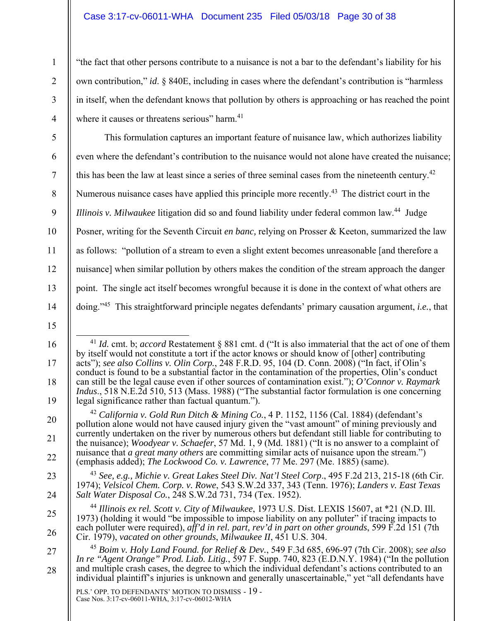## Case 3:17-cv-06011-WHA Document 235 Filed 05/03/18 Page 30 of 38

"the fact that other persons contribute to a nuisance is not a bar to the defendant's liability for his own contribution," *id*. § 840E, including in cases where the defendant's contribution is "harmless in itself, when the defendant knows that pollution by others is approaching or has reached the point where it causes or threatens serious" harm.<sup>41</sup>

5 6 7 8 9 10 11 12 13 14 This formulation captures an important feature of nuisance law, which authorizes liability even where the defendant's contribution to the nuisance would not alone have created the nuisance; this has been the law at least since a series of three seminal cases from the nineteenth century.<sup>42</sup> Numerous nuisance cases have applied this principle more recently.<sup>43</sup> The district court in the *Illinois v. Milwaukee* litigation did so and found liability under federal common law. 44 Judge Posner, writing for the Seventh Circuit *en banc,* relying on Prosser & Keeton, summarized the law as follows: "pollution of a stream to even a slight extent becomes unreasonable [and therefore a nuisance] when similar pollution by others makes the condition of the stream approach the danger point. The single act itself becomes wrongful because it is done in the context of what others are doing."45 This straightforward principle negates defendants' primary causation argument, *i.e.*, that

17

18

19

20

21

22

23

24

25

26

27

28

1

2

3

<sup>15</sup>  16

 <sup>41</sup> *Id.* cmt. b; *accord* Restatement § 881 cmt. d ("It is also immaterial that the act of one of them by itself would not constitute a tort if the actor knows or should know of [other] contributing acts"); *see also Collins v. Olin Corp.*, 248 F.R.D. 95, 104 (D. Conn. 2008) ("In fact, if Olin's conduct is found to be a substantial factor in the contamination of the properties, Olin's conduct can still be the legal cause even if other sources of contamination exist."); *O'Connor v. Raymark Indus*., 518 N.E.2d 510, 513 (Mass. 1988) ("The substantial factor formulation is one concerning legal significance rather than factual quantum.").

<sup>42</sup> *California v. Gold Run Ditch & Mining Co.*, 4 P. 1152, 1156 (Cal. 1884) (defendant's pollution alone would not have caused injury given the "vast amount" of mining previously and currently undertaken on the river by numerous others but defendant still liable for contributing to the nuisance); *Woodyear v. Schaefer*, 57 Md. 1, 9 (Md. 1881) ("It is no answer to a complaint of nuisance that *a great many others* are committing similar acts of nuisance upon the stream.") (emphasis added); *The Lockwood Co. v. Lawrence*, 77 Me. 297 (Me. 1885) (same).

<sup>43</sup> *See, e.g., Michie v. Great Lakes Steel Div. Nat'l Steel Corp*., 495 F.2d 213, 215-18 (6th Cir. 1974); *Velsicol Chem. Corp. v. Rowe*, 543 S.W.2d 337, 343 (Tenn. 1976); *Landers v. East Texas Salt Water Disposal Co.*, 248 S.W.2d 731, 734 (Tex. 1952).

<sup>44</sup> *Illinois ex rel. Scott v. City of Milwaukee*, 1973 U.S. Dist. LEXIS 15607, at \*21 (N.D. Ill. 1973) (holding it would "be impossible to impose liability on any polluter" if tracing impacts to each polluter were required), *aff'd in rel. part, rev'd in part on other grounds*, 599 F.2d 151 (7th Cir. 1979), *vacated on other grounds*, *Milwaukee II*, 451 U.S. 304.

<sup>45</sup> *Boim v. Holy Land Found. for Relief & Dev.*, 549 F.3d 685, 696-97 (7th Cir. 2008); *see also In re "Agent Orange" Prod. Liab. Litig.*, 597 F. Supp. 740, 823 (E.D.N.Y. 1984) ("In the pollution and multiple crash cases, the degree to which the individual defendant's actions contributed to an individual plaintiff's injuries is unknown and generally unascertainable," yet "all defendants have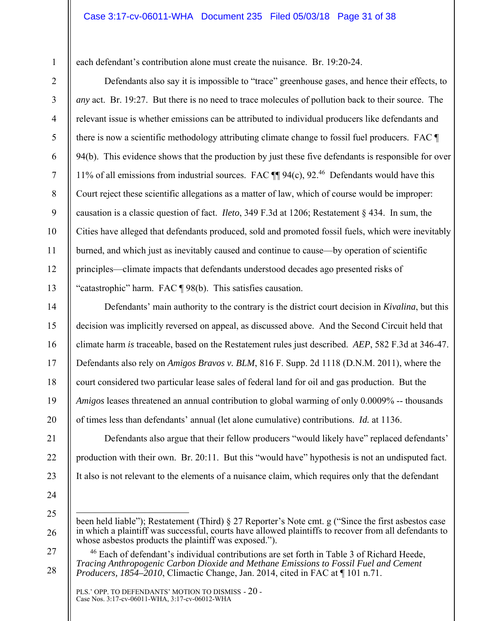each defendant's contribution alone must create the nuisance. Br. 19:20-24.

Defendants also say it is impossible to "trace" greenhouse gases, and hence their effects, to *any* act. Br. 19:27. But there is no need to trace molecules of pollution back to their source. The relevant issue is whether emissions can be attributed to individual producers like defendants and there is now a scientific methodology attributing climate change to fossil fuel producers. FAC ¶ 94(b). This evidence shows that the production by just these five defendants is responsible for over 11% of all emissions from industrial sources. FAC  $\P$  94(c), 92.<sup>46</sup> Defendants would have this Court reject these scientific allegations as a matter of law, which of course would be improper: causation is a classic question of fact. *Ileto*, 349 F.3d at 1206; Restatement § 434. In sum, the Cities have alleged that defendants produced, sold and promoted fossil fuels, which were inevitably burned, and which just as inevitably caused and continue to cause—by operation of scientific principles—climate impacts that defendants understood decades ago presented risks of "catastrophic" harm. FAC ¶ 98(b). This satisfies causation.

Defendants' main authority to the contrary is the district court decision in *Kivalina*, but this decision was implicitly reversed on appeal, as discussed above. And the Second Circuit held that climate harm *is* traceable, based on the Restatement rules just described. *AEP*, 582 F.3d at 346-47. Defendants also rely on *Amigos Bravos v. BLM*, 816 F. Supp. 2d 1118 (D.N.M. 2011), where the court considered two particular lease sales of federal land for oil and gas production. But the *Amigos* leases threatened an annual contribution to global warming of only 0.0009% -- thousands of times less than defendants' annual (let alone cumulative) contributions. *Id.* at 1136.

Defendants also argue that their fellow producers "would likely have" replaced defendants' production with their own. Br. 20:11. But this "would have" hypothesis is not an undisputed fact. It also is not relevant to the elements of a nuisance claim, which requires only that the defendant

24 25

 $\overline{a}$ 

26

27

28

1

2

3

4

5

6

7

8

9

10

11

12

13

14

15

16

17

18

19

20

21

22

been held liable"); Restatement (Third) § 27 Reporter's Note cmt. g ("Since the first asbestos case in which a plaintiff was successful, courts have allowed plaintiffs to recover from all defendants to whose asbestos products the plaintiff was exposed.").

<sup>&</sup>lt;sup>46</sup> Each of defendant's individual contributions are set forth in Table 3 of Richard Heede, *Tracing Anthropogenic Carbon Dioxide and Methane Emissions to Fossil Fuel and Cement Producers, 1854–2010*, Climactic Change, Jan. 2014, cited in FAC at ¶ 101 n.71.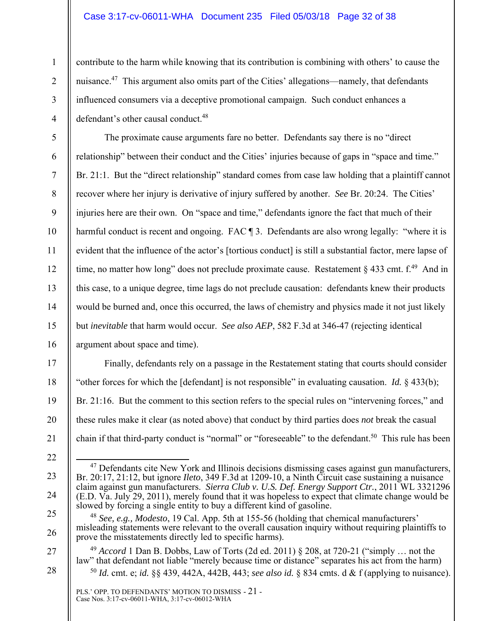#### Case 3:17-cv-06011-WHA Document 235 Filed 05/03/18 Page 32 of 38

contribute to the harm while knowing that its contribution is combining with others' to cause the nuisance.<sup>47</sup> This argument also omits part of the Cities' allegations—namely, that defendants influenced consumers via a deceptive promotional campaign. Such conduct enhances a defendant's other causal conduct.<sup>48</sup>

The proximate cause arguments fare no better. Defendants say there is no "direct relationship" between their conduct and the Cities' injuries because of gaps in "space and time." Br. 21:1. But the "direct relationship" standard comes from case law holding that a plaintiff cannot recover where her injury is derivative of injury suffered by another. *See* Br. 20:24. The Cities' injuries here are their own. On "space and time," defendants ignore the fact that much of their harmful conduct is recent and ongoing. FAC  $\parallel$  3. Defendants are also wrong legally: "where it is evident that the influence of the actor's [tortious conduct] is still a substantial factor, mere lapse of time, no matter how long" does not preclude proximate cause. Restatement  $\S 433$  cmt. f.<sup>49</sup> And in this case, to a unique degree, time lags do not preclude causation: defendants knew their products would be burned and, once this occurred, the laws of chemistry and physics made it not just likely but *inevitable* that harm would occur. *See also AEP*, 582 F.3d at 346-47 (rejecting identical argument about space and time).

17 18 19 20 21 Finally, defendants rely on a passage in the Restatement stating that courts should consider "other forces for which the [defendant] is not responsible" in evaluating causation. *Id.* § 433(b); Br. 21:16. But the comment to this section refers to the special rules on "intervening forces," and these rules make it clear (as noted above) that conduct by third parties does *not* break the casual chain if that third-party conduct is "normal" or "foreseeable" to the defendant.<sup>50</sup> This rule has been

 $47$  Defendants cite New York and Illinois decisions dismissing cases against gun manufacturers, Br. 20:17, 21:12, but ignore *Ileto*, 349 F.3d at 1209-10, a Ninth Circuit case sustaining a nuisance claim against gun manufacturers. *Sierra Club v. U.S. Def. Energy Support Ctr.*, 2011 WL 3321296 (E.D. Va. July 29, 2011), merely found that it was hopeless to expect that climate change would be

1

2

3

4

5

6

7

8

9

10

11

12

13

14

15

16

- 23
- 24
- 25

26

27

<sup>22</sup> 

slowed by forcing a single entity to buy a different kind of gasoline. <sup>48</sup> *See, e.g., Modesto*, 19 Cal. App. 5th at 155-56 (holding that chemical manufacturers' misleading statements were relevant to the overall causation inquiry without requiring plaintiffs to prove the misstatements directly led to specific harms).

<sup>49</sup> *Accord* 1 Dan B. Dobbs, Law of Torts (2d ed. 2011) § 208, at 720-21 ("simply … not the law" that defendant not liable "merely because time or distance" separates his act from the harm) <sup>50</sup> *Id.* cmt. e; *id.* §§ 439, 442A, 442B, 443; *see also id.* § 834 cmts. d & f (applying to nuisance).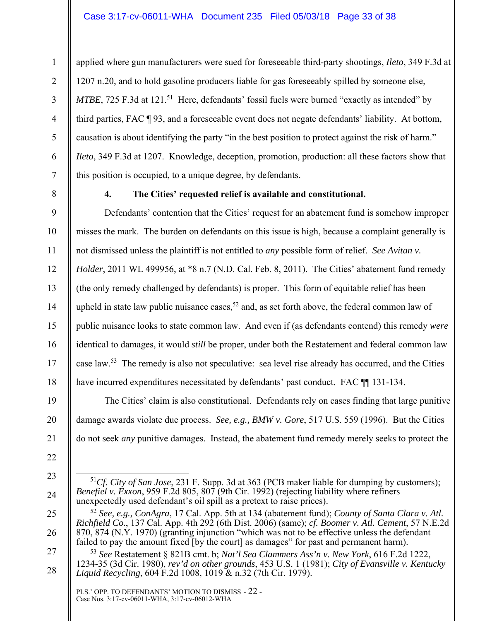applied where gun manufacturers were sued for foreseeable third-party shootings, *Ileto*, 349 F.3d at 1207 n.20, and to hold gasoline producers liable for gas foreseeably spilled by someone else, *MTBE*, 725 F.3d at 121.<sup>51</sup> Here, defendants' fossil fuels were burned "exactly as intended" by third parties, FAC ¶ 93, and a foreseeable event does not negate defendants' liability. At bottom, causation is about identifying the party "in the best position to protect against the risk of harm." *Ileto*, 349 F.3d at 1207. Knowledge, deception, promotion, production: all these factors show that this position is occupied, to a unique degree, by defendants.

1

# **4. The Cities' requested relief is available and constitutional.**

Defendants' contention that the Cities' request for an abatement fund is somehow improper misses the mark. The burden on defendants on this issue is high, because a complaint generally is not dismissed unless the plaintiff is not entitled to *any* possible form of relief. *See Avitan v. Holder*, 2011 WL 499956, at \*8 n.7 (N.D. Cal. Feb. 8, 2011). The Cities' abatement fund remedy (the only remedy challenged by defendants) is proper. This form of equitable relief has been upheld in state law public nuisance cases,<sup>52</sup> and, as set forth above, the federal common law of public nuisance looks to state common law. And even if (as defendants contend) this remedy *were* identical to damages, it would *still* be proper, under both the Restatement and federal common law case law.53 The remedy is also not speculative: sea level rise already has occurred, and the Cities have incurred expenditures necessitated by defendants' past conduct. FAC  $\P$  131-134.

The Cities' claim is also constitutional. Defendants rely on cases finding that large punitive damage awards violate due process. *See, e.g., BMW v. Gore*, 517 U.S. 559 (1996). But the Cities do not seek *any* punitive damages. Instead, the abatement fund remedy merely seeks to protect the

 <sup>51</sup>*Cf. City of San Jose*, 231 F. Supp. 3d at 363 (PCB maker liable for dumping by customers); *Benefiel v. Exxon*, 959 F.2d 805, 807 (9th Cir. 1992) (rejecting liability where refiners unexpectedly used defendant's oil spill as a pretext to raise prices).

<sup>52</sup> *See, e.g., ConAgra*, 17 Cal. App. 5th at 134 (abatement fund); *County of Santa Clara v. Atl. Richfield Co.*, 137 Cal. App. 4th 292 (6th Dist. 2006) (same); *cf. Boomer v. Atl. Cement*, 57 N.E.2d 870, 874 (N.Y. 1970) (granting injunction "which was not to be effective unless the defendant failed to pay the amount fixed  $\overline{[by]}$  the court] as damages" for past and permanent harm).

<sup>53</sup> *See* Restatement § 821B cmt. b; *Nat'l Sea Clammers Ass'n v. New York*, 616 F.2d 1222, 1234-35 (3d Cir. 1980), *rev'd on other grounds*, 453 U.S. 1 (1981); *City of Evansville v. Kentucky Liquid Recycling*, 604 F.2d 1008, 1019 & n.32 (7th Cir. 1979).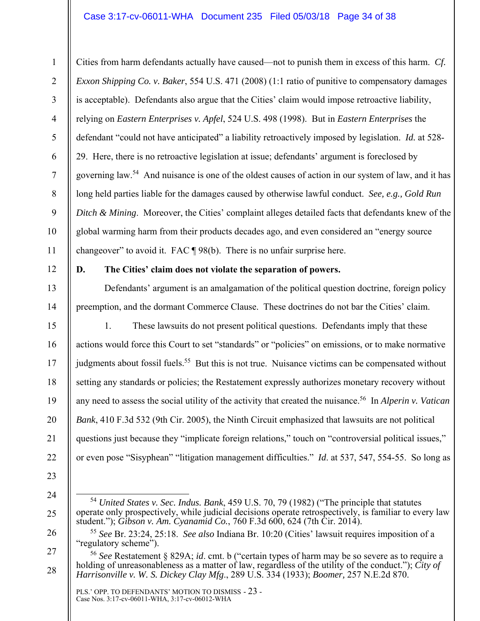## Case 3:17-cv-06011-WHA Document 235 Filed 05/03/18 Page 34 of 38

Cities from harm defendants actually have caused—not to punish them in excess of this harm. *Cf. Exxon Shipping Co. v. Baker*, 554 U.S. 471 (2008) (1:1 ratio of punitive to compensatory damages is acceptable). Defendants also argue that the Cities' claim would impose retroactive liability, relying on *Eastern Enterprises v. Apfel*, 524 U.S. 498 (1998). But in *Eastern Enterprises* the defendant "could not have anticipated" a liability retroactively imposed by legislation. *Id.* at 528- 29. Here, there is no retroactive legislation at issue; defendants' argument is foreclosed by governing law.54 And nuisance is one of the oldest causes of action in our system of law, and it has long held parties liable for the damages caused by otherwise lawful conduct. *See, e.g., Gold Run Ditch & Mining*. Moreover, the Cities' complaint alleges detailed facts that defendants knew of the global warming harm from their products decades ago, and even considered an "energy source changeover" to avoid it. FAC ¶ 98(b). There is no unfair surprise here.

12

1

2

3

4

5

6

7

8

9

10

11

13

14

15

16

17

18

19

20

21

22

## **D. The Cities' claim does not violate the separation of powers.**

Defendants' argument is an amalgamation of the political question doctrine, foreign policy preemption, and the dormant Commerce Clause. These doctrines do not bar the Cities' claim.

1. These lawsuits do not present political questions. Defendants imply that these actions would force this Court to set "standards" or "policies" on emissions, or to make normative judgments about fossil fuels.<sup>55</sup> But this is not true. Nuisance victims can be compensated without setting any standards or policies; the Restatement expressly authorizes monetary recovery without any need to assess the social utility of the activity that created the nuisance.<sup>56</sup> In *Alperin v. Vatican Bank*, 410 F.3d 532 (9th Cir. 2005), the Ninth Circuit emphasized that lawsuits are not political questions just because they "implicate foreign relations," touch on "controversial political issues," or even pose "Sisyphean" "litigation management difficulties." *Id*. at 537, 547, 554-55. So long as

25

<sup>23</sup> 

<sup>24</sup> 

 <sup>54</sup> *United States v. Sec. Indus. Bank*, 459 U.S. 70, 79 (1982) ("The principle that statutes operate only prospectively, while judicial decisions operate retrospectively, is familiar to every law student."); *Gibson v. Am. Cyanamid Co.*, 760 F.3d 600, 624 (7th Cir. 2014).

<sup>55</sup> *See* Br. 23:24, 25:18. *See also* Indiana Br. 10:20 (Cities' lawsuit requires imposition of a "regulatory scheme").

<sup>27</sup>  28 <sup>56</sup> *See* Restatement § 829A; *id*. cmt. b ("certain types of harm may be so severe as to require a holding of unreasonableness as a matter of law, regardless of the utility of the conduct."); *City of Harrisonville v. W. S. Dickey Clay Mfg*., 289 U.S. 334 (1933); *Boomer,* 257 N.E.2d 870.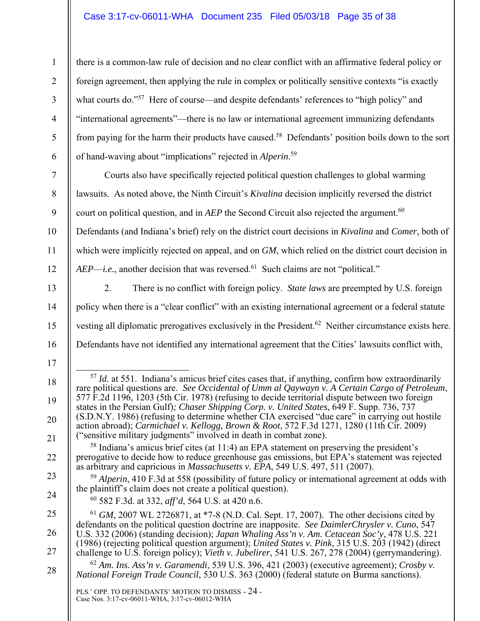## Case 3:17-cv-06011-WHA Document 235 Filed 05/03/18 Page 35 of 38

1

2

3

4

5

6

7

8

9

10

11

12

13

14

15

16

17

18

19

20

21

22

23

24

there is a common-law rule of decision and no clear conflict with an affirmative federal policy or foreign agreement, then applying the rule in complex or politically sensitive contexts "is exactly what courts do."<sup>57</sup> Here of course—and despite defendants' references to "high policy" and "international agreements"—there is no law or international agreement immunizing defendants from paying for the harm their products have caused.<sup>58</sup> Defendants' position boils down to the sort of hand-waving about "implications" rejected in *Alperin*. 59

Courts also have specifically rejected political question challenges to global warming lawsuits. As noted above, the Ninth Circuit's *Kivalina* decision implicitly reversed the district court on political question, and in *AEP* the Second Circuit also rejected the argument.<sup>60</sup> Defendants (and Indiana's brief) rely on the district court decisions in *Kivalina* and *Comer*, both of

which were implicitly rejected on appeal, and on *GM*, which relied on the district court decision in *AEP—i.e.*, another decision that was reversed.<sup>61</sup> Such claims are not "political."

2. There is no conflict with foreign policy. *State laws* are preempted by U.S. foreign policy when there is a "clear conflict" with an existing international agreement or a federal statute vesting all diplomatic prerogatives exclusively in the President.<sup>62</sup> Neither circumstance exists here. Defendants have not identified any international agreement that the Cities' lawsuits conflict with,

<sup>59</sup> *Alperin*, 410 F.3d at 558 (possibility of future policy or international agreement at odds with the plaintiff's claim does not create a political question). 60 582 F.3d. at 332, *aff'd*, 564 U.S. at 420 n.6.

*National Foreign Trade Council*, 530 U.S. 363 (2000) (federal statute on Burma sanctions).

<sup>&</sup>lt;sup>57</sup> *Id.* at 551. Indiana's amicus brief cites cases that, if anything, confirm how extraordinarily rare political questions are. *See Occidental of Umm al Qaywayn v. A Certain Cargo of Petroleum*, 577 F.2d 1196, 1203 (5th Cir. 1978) (refusing to decide territorial dispute between two foreign states in the Persian Gulf)*; Chaser Shipping Corp. v. United States*, 649 F. Supp. 736, 737 (S.D.N.Y. 1986) (refusing to determine whether CIA exercised "due care" in carrying out hostile action abroad); *Carmichael v. Kellogg, Brown & Root*, 572 F.3d 1271, 1280 (11th Cir. 2009) ("sensitive military judgments" involved in death in combat zone).

<sup>58</sup> Indiana's amicus brief cites (at 11:4) an EPA statement on preserving the president's prerogative to decide how to reduce greenhouse gas emissions, but EPA's statement was rejected as arbitrary and capricious in *Massachusetts v. EPA*, 549 U.S. 497, 511 (2007).

<sup>25</sup>  26 27 28 <sup>61</sup> *GM*, 2007 WL 2726871, at \*7-8 (N.D. Cal. Sept. 17, 2007). The other decisions cited by defendants on the political question doctrine are inapposite. *See DaimlerChrysler v. Cuno*, 547 U.S. 332 (2006) (standing decision); *Japan Whaling Ass'n v. Am. Cetacean Soc'y*, 478 U.S. 221 (1986) (rejecting political question argument); *United States v. Pink*, 315 U.S. 203 (1942) (direct challenge to U.S. foreign policy); *Vieth v. Jubelirer*, 541 U.S. 267, 278 (2004) (gerrymandering). <sup>62</sup> *Am. Ins. Ass'n v. Garamendi*, 539 U.S. 396, 421 (2003) (executive agreement); *Crosby v.*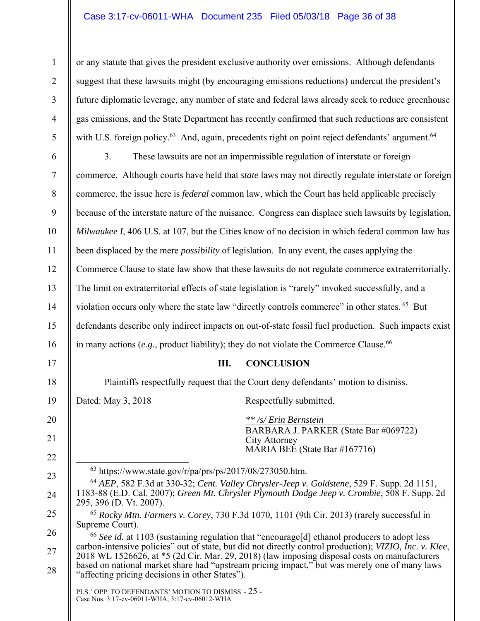## Case 3:17-cv-06011-WHA Document 235 Filed 05/03/18 Page 36 of 38

or any statute that gives the president exclusive authority over emissions. Although defendants suggest that these lawsuits might (by encouraging emissions reductions) undercut the president's future diplomatic leverage, any number of state and federal laws already seek to reduce greenhouse gas emissions, and the State Department has recently confirmed that such reductions are consistent with U.S. foreign policy.<sup>63</sup> And, again, precedents right on point reject defendants' argument.<sup>64</sup>

6 7 8 9 10 11 12 13 14 15 16 3. These lawsuits are not an impermissible regulation of interstate or foreign commerce. Although courts have held that *state* laws may not directly regulate interstate or foreign commerce, the issue here is *federal* common law, which the Court has held applicable precisely because of the interstate nature of the nuisance. Congress can displace such lawsuits by legislation, *Milwaukee I*, 406 U.S. at 107, but the Cities know of no decision in which federal common law has been displaced by the mere *possibility* of legislation. In any event, the cases applying the Commerce Clause to state law show that these lawsuits do not regulate commerce extraterritorially. The limit on extraterritorial effects of state legislation is "rarely" invoked successfully, and a violation occurs only where the state law "directly controls commerce" in other states. <sup>65</sup> But defendants describe only indirect impacts on out-of-state fossil fuel production. Such impacts exist in many actions  $(e.g.,$  product liability); they do not violate the Commerce Clause.<sup>66</sup>

#### **III. CONCLUSION**

Plaintiffs respectfully request that the Court deny defendants' motion to dismiss.

1

2

3

4

5

17

18

19

20

21

22

23

24

25

Dated: May 3, 2018 Respectfully submitted,

*\*\* /s/ Erin Bernstein* BARBARA J. PARKER (State Bar #069722) City Attorney MÁRIA BEÉ (State Bar #167716)

 $^{63}$  https://www.state.gov/r/pa/prs/ps/2017/08/273050.htm.

<sup>64</sup> *AEP*, 582 F.3d at 330-32; *Cent. Valley Chrysler-Jeep v. Goldstene*, 529 F. Supp. 2d 1151, 1183-88 (E.D. Cal. 2007); *Green Mt. Chrysler Plymouth Dodge Jeep v. Crombie*, 508 F. Supp. 2d 295, 396 (D. Vt. 2007).

<sup>65</sup> *Rocky Mtn. Farmers v. Corey*, 730 F.3d 1070, 1101 (9th Cir. 2013) (rarely successful in Supreme Court).

26 27 28 <sup>66</sup> *See id.* at 1103 (sustaining regulation that "encourage[d] ethanol producers to adopt less carbon-intensive policies" out of state, but did not directly control production); VIZIO, Inc. v. Klee, 2018 WL 1526626, at  $*5$  (2d Cir. Mar. 29, 2018) (law imposing disposal costs on manufacturers based on national market share had "upstream pricing impact," but was merely one of many laws "affecting pricing decisions in other States").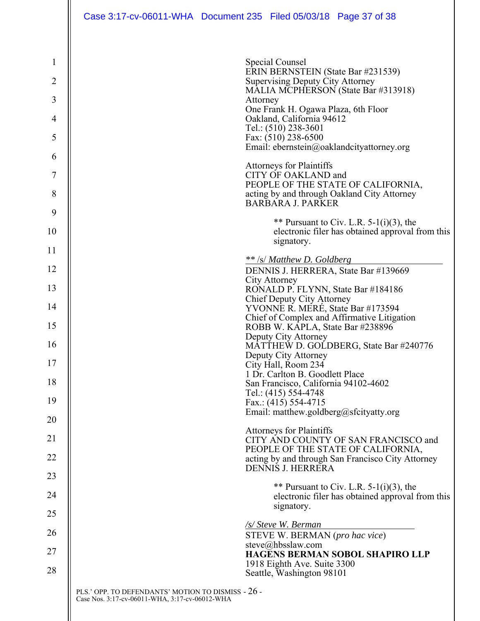| $\mathbf{1}$ |                                                    | Special Counsel<br>ERIN BERNSTEIN (State Bar #231539)                                                         |  |
|--------------|----------------------------------------------------|---------------------------------------------------------------------------------------------------------------|--|
| 2            |                                                    | Supervising Deputy City Attorney<br>MALIA MCPHERSON (State Bar #313918)                                       |  |
| 3            |                                                    | Attorney<br>One Frank H. Ogawa Plaza, 6th Floor                                                               |  |
| 4            |                                                    | Oakland, California 94612                                                                                     |  |
| 5            |                                                    | Tel.: (510) 238-3601<br>Fax: (510) 238-6500                                                                   |  |
| 6            |                                                    | Email: ebernstein@oaklandcityattorney.org                                                                     |  |
| 7            |                                                    | <b>Attorneys for Plaintiffs</b><br>CITY OF OAKLAND and                                                        |  |
| 8            |                                                    | PEOPLE OF THE STATE OF CALIFORNIA,<br>acting by and through Oakland City Attorney<br><b>BARBARA J. PARKER</b> |  |
| 9            |                                                    |                                                                                                               |  |
| 10           |                                                    | ** Pursuant to Civ. L.R. $5-1(i)(3)$ , the<br>electronic filer has obtained approval from this<br>signatory.  |  |
| 11           |                                                    |                                                                                                               |  |
| 12           |                                                    | ** /s/ Matthew D. Goldberg<br>DENNIS J. HERRERA, State Bar #139669                                            |  |
| 13           |                                                    | City Attorney<br>RONALD P. FLYNN, State Bar #184186                                                           |  |
| 14           |                                                    | Chief Deputy City Attorney                                                                                    |  |
|              |                                                    | YVONNE R. MERÉ, State Bar #173594<br>Chief of Complex and Affirmative Litigation                              |  |
| 15           |                                                    | ROBB W. KAPLA, State Bar #238896<br>Deputy City Attorney                                                      |  |
| 16           |                                                    | MATTHEW D. GOLDBERG, State Bar #240776                                                                        |  |
| 17           |                                                    | Deputy City Attorney<br>City Hall, Room 234                                                                   |  |
| 18           |                                                    | 1 Dr. Carlton B. Goodlett Place<br>San Francisco, California 94102-4602                                       |  |
| 19           |                                                    | Tel.: (415) 554-4748<br>Fax.: $(415)$ 554-4715                                                                |  |
|              |                                                    | Email: matthew.goldberg@sfcityatty.org                                                                        |  |
| 20           |                                                    | <b>Attorneys for Plaintiffs</b>                                                                               |  |
| 21           |                                                    | CITY AND COUNTY OF SAN FRANCISCO and<br>PEOPLE OF THE STATE OF CALIFORNIA,                                    |  |
| 22           |                                                    | acting by and through San Francisco City Attorney                                                             |  |
| 23           |                                                    | <b>DENNIS J. HERRERA</b>                                                                                      |  |
| 24           |                                                    | ** Pursuant to Civ. L.R. $5-1(i)(3)$ , the<br>electronic filer has obtained approval from this                |  |
| 25           |                                                    | signatory.                                                                                                    |  |
| 26           |                                                    | /s/ Steve W. Berman                                                                                           |  |
| 27           |                                                    | STEVE W. BERMAN (pro hac vice)<br>steve@hbsslaw.com<br><b>HAGENS BERMAN SOBOL SHAPIRO LLP</b>                 |  |
| 28           |                                                    | 1918 Eighth Ave. Suite 3300                                                                                   |  |
|              |                                                    | Seattle, Washington 98101                                                                                     |  |
|              | PLS.' OPP. TO DEFENDANTS' MOTION TO DISMISS - 26 - |                                                                                                               |  |

 $\parallel$